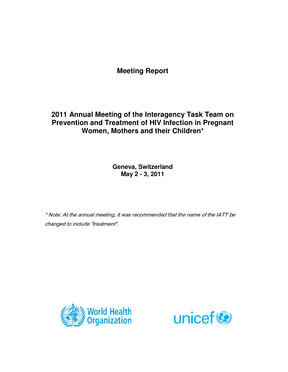# **Meeting Report**

# **2011 Annual Meeting of the Interagency Task Team on Prevention and Treatment of HIV Infection in Pregnant Women, Mothers and their Children\***

**Geneva, Switzerland May 2 - 3, 2011** 

\* Note: At the annual meeting, it was recommended that the name of the IATT be changed to include "treatment".



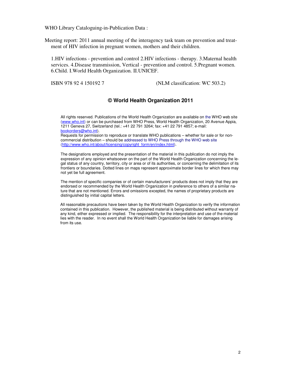WHO Library Cataloguing-in-Publication Data :

Meeting report: 2011 annual meeting of the interagency task team on prevention and treatment of HIV infection in pregnant women, mothers and their children.

1.HIV infections - prevention and control 2.HIV infections - therapy. 3.Maternal health services. 4.Disease transmission, Vertical - prevention and control. 5.Pregnant women. 6.Child. I.World Health Organization. II.UNICEF.

ISBN 978 92 4 150192 7 (NLM classification: WC 503.2)

## **© World Health Organization 2011**

All rights reserved. Publications of the World Health Organization are available on the WHO web site (www.who.int) or can be purchased from WHO Press, World Health Organization, 20 Avenue Appia, 1211 Geneva 27, Switzerland (tel.: +41 22 791 3264; fax: +41 22 791 4857; e-mail: bookorders@who.int).

Requests for permission to reproduce or translate WHO publications – whether for sale or for noncommercial distribution – should be addressed to WHO Press through the WHO web site (http://www.who.int/about/licensing/copyright\_form/en/index.html).

The designations employed and the presentation of the material in this publication do not imply the expression of any opinion whatsoever on the part of the World Health Organization concerning the legal status of any country, territory, city or area or of its authorities, or concerning the delimitation of its frontiers or boundaries. Dotted lines on maps represent approximate border lines for which there may not yet be full agreement.

The mention of specific companies or of certain manufacturers' products does not imply that they are endorsed or recommended by the World Health Organization in preference to others of a similar nature that are not mentioned. Errors and omissions excepted, the names of proprietary products are distinguished by initial capital letters.

All reasonable precautions have been taken by the World Health Organization to verify the information contained in this publication. However, the published material is being distributed without warranty of any kind, either expressed or implied. The responsibility for the interpretation and use of the material lies with the reader. In no event shall the World Health Organization be liable for damages arising from its use.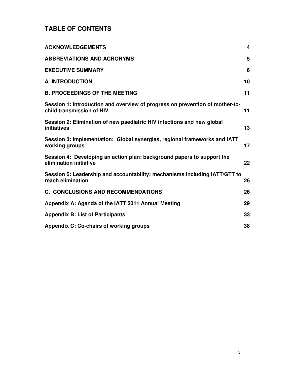# **TABLE OF CONTENTS**

| <b>ACKNOWLEDGEMENTS</b>                                                                                   | 4  |
|-----------------------------------------------------------------------------------------------------------|----|
| <b>ABBREVIATIONS AND ACRONYMS</b>                                                                         | 5  |
| <b>EXECUTIVE SUMMARY</b>                                                                                  | 6  |
| <b>A. INTRODUCTION</b>                                                                                    | 10 |
| <b>B. PROCEEDINGS OF THE MEETING</b>                                                                      | 11 |
| Session 1: Introduction and overview of progress on prevention of mother-to-<br>child transmission of HIV | 11 |
| Session 2: Elimination of new paediatric HIV infections and new global<br>initiatives                     | 13 |
| Session 3: Implementation: Global synergies, regional frameworks and IATT<br>working groups               | 17 |
| Session 4: Developing an action plan: background papers to support the<br>elimination initiative          | 22 |
| Session 5: Leadership and accountability: mechanisms including IATT/GTT to<br>reach elimination           | 26 |
| <b>C. CONCLUSIONS AND RECOMMENDATIONS</b>                                                                 | 26 |
| Appendix A: Agenda of the IATT 2011 Annual Meeting                                                        | 29 |
| <b>Appendix B: List of Participants</b>                                                                   | 33 |
| Appendix C: Co-chairs of working groups                                                                   | 38 |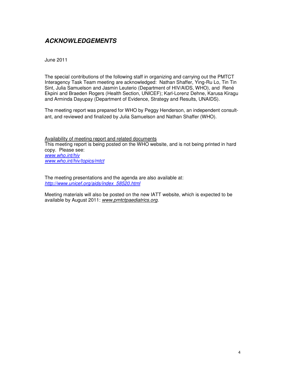# **ACKNOWLEDGEMENTS**

June 2011

The special contributions of the following staff in organizing and carrying out the PMTCT Interagency Task Team meeting are acknowledged: Nathan Shaffer, Ying-Ru Lo, Tin Tin Sint, Julia Samuelson and Jasmin Leuterio (Department of HIV/AIDS, WHO), and René Ekpini and Braeden Rogers (Health Section, UNICEF); Karl-Lorenz Dehne, Karusa Kiragu and Arminda Dayupay (Department of Evidence, Strategy and Results, UNAIDS).

The meeting report was prepared for WHO by Peggy Henderson, an independent consultant, and reviewed and finalized by Julia Samuelson and Nathan Shaffer (WHO).

Availability of meeting report and related documents This meeting report is being posted on the WHO website, and is not being printed in hard copy. Please see: www.who.int/hiv www.who.int/hiv/topics/mtct

The meeting presentations and the agenda are also available at: http://www.unicef.org/aids/index\_58520.html

Meeting materials will also be posted on the new IATT website, which is expected to be available by August 2011: www.pmtctpaediatrics.org.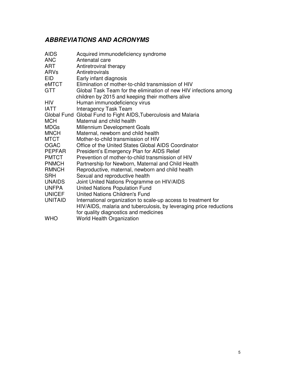# **ABBREVIATIONS AND ACRONYMS**

| <b>AIDS</b>    | Acquired immunodeficiency syndrome                                 |  |
|----------------|--------------------------------------------------------------------|--|
| <b>ANC</b>     | Antenatal care                                                     |  |
| ART            | Antiretroviral therapy                                             |  |
| ARVs           | Antiretrovirals                                                    |  |
| <b>EID</b>     | Early infant diagnosis                                             |  |
| eMTCT          | Elimination of mother-to-child transmission of HIV                 |  |
| <b>GTT</b>     | Global Task Team for the elimination of new HIV infections among   |  |
|                | children by 2015 and keeping their mothers alive                   |  |
| <b>HIV</b>     | Human immunodeficiency virus                                       |  |
| <b>IATT</b>    | <b>Interagency Task Team</b>                                       |  |
|                | Global Fund Global Fund to Fight AIDS, Tuberculosis and Malaria    |  |
| <b>MCH</b>     | Maternal and child health                                          |  |
| <b>MDGs</b>    | Millennium Development Goals                                       |  |
| <b>MNCH</b>    | Maternal, newborn and child health                                 |  |
| <b>MTCT</b>    | Mother-to-child transmission of HIV                                |  |
| <b>OGAC</b>    | Office of the United States Global AIDS Coordinator                |  |
| <b>PEPFAR</b>  | President's Emergency Plan for AIDS Relief                         |  |
| <b>PMTCT</b>   | Prevention of mother-to-child transmission of HIV                  |  |
| <b>PNMCH</b>   | Partnership for Newborn, Maternal and Child Health                 |  |
| <b>RMNCH</b>   | Reproductive, maternal, newborn and child health                   |  |
| <b>SRH</b>     | Sexual and reproductive health                                     |  |
| <b>UNAIDS</b>  | Joint United Nations Programme on HIV/AIDS                         |  |
| <b>UNFPA</b>   | <b>United Nations Population Fund</b>                              |  |
| <b>UNICEF</b>  | United Nations Children's Fund                                     |  |
| <b>UNITAID</b> | International organization to scale-up access to treatment for     |  |
|                | HIV/AIDS, malaria and tuberculosis, by leveraging price reductions |  |
|                | for quality diagnostics and medicines                              |  |
| <b>WHO</b>     | <b>World Health Organization</b>                                   |  |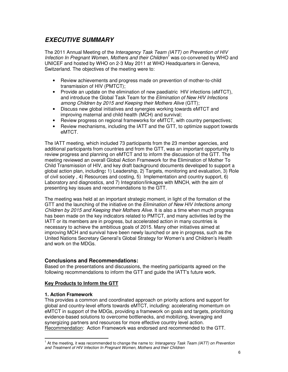# **EXECUTIVE SUMMARY**

The 2011 Annual Meeting of the Interagency Task Team (IATT) on Prevention of HIV Infection In Pregnant Women, Mothers and their Children<sup>1</sup> was co-convened by WHO and UNICEF and hosted by WHO on 2-3 May 2011 at WHO Headquarters in Geneva, Switzerland. The objectives of the meeting were to:

- Review achievements and progress made on prevention of mother-to-child transmission of HIV (PMTCT);
- Provide an update on the elimination of new paediatric HIV infections (eMTCT), and introduce the Global Task Team for the Elimination of New HIV Infections among Children by 2015 and Keeping their Mothers Alive (GTT);
- Discuss new global initiatives and synergies working towards eMTCT and improving maternal and child health (MCH) and survival;
- Review progress on regional frameworks for eMTCT, with country perspectives;
- Review mechanisms, including the IATT and the GTT, to optimize support towards eMTCT.

The IATT meeting, which included 73 participants from the 23 member agencies, and additional participants from countries and from the GTT, was an important opportunity to review progress and planning on eMTCT and to inform the discussion of the GTT. The meeting reviewed an overall Global Action Framework for the Elimination of Mother To Child Transmission of HIV, and key draft background documents developed to support a global action plan, including**:** 1) Leadership, 2) Targets, monitoring and evaluation, 3) Role of civil society , 4) Resources and costing, 5) Implementation and country support, 6) Laboratory and diagnostics, and 7) Integration/linkages with MNCH, with the aim of presenting key issues and recommendations to the GTT.

The meeting was held at an important strategic moment, in light of the formation of the GTT and the launching of the initiative on the *Elimination of New HIV Infections among* Children by 2015 and Keeping their Mothers Alive. It is also a time when much progress has been made on the key indicators related to PMTCT, and many activities led by the IATT or its members are in progress, but accelerated action in many countries is necessary to achieve the ambitious goals of 2015. Many other initiatives aimed at improving MCH and survival have been newly launched or are in progress, such as the United Nations Secretary General's Global Strategy for Women's and Children's Health and work on the MDGs.

## **Conclusions and Recommendations:**

Based on the presentations and discussions, the meeting participants agreed on the following recommendations to inform the GTT and guide the IATT's future work.

## **Key Products to Inform the GTT**

## **1. Action Framework**

-

This provides a common and coordinated approach on priority actions and support for global and country-level efforts towards eMTCT, including: accelerating momentum on eMTCT in support of the MDGs, providing a framework on goals and targets, prioritizing evidence-based solutions to overcome bottlenecks, and mobilizing, leveraging and synergizing partners and resources for more effective country level action. Recommendation: Action Framework was endorsed and recommended to the GTT.

<sup>&</sup>lt;sup>1</sup> At the meeting, it was recommended to change the name to: Interagency Task Team (IATT) on Prevention and Treatment of HIV Infection In Pregnant Women, Mothers and their Children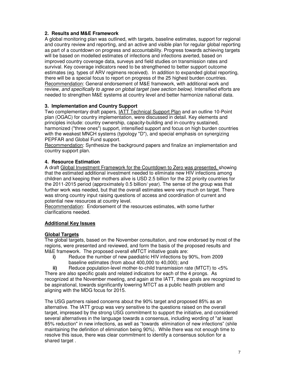## **2. Results and M&E Framework**

A global monitoring plan was outlined, with targets, baseline estimates, support for regional and country review and reporting, and an active and visible plan for regular global reporting as part of a countdown on progress and accountability. Progress towards achieving targets will be based on modelled estimates of infections and infections averted, based on improved country coverage data, surveys and field studies on transmission rates and survival. Key coverage indicators need to be strengthened to better support outcome estimates (eg. types of ARV regimens received). In addition to expanded global reporting, there will be a special focus to report on progress of the 25 highest burden countries. Recommendation: General endorsement of M&E framework, with additional work and review, and specifically to agree on global target (see section below). Intensified efforts are needed to strengthen M&E systems at country level and better harmonize national data.

## **3. Implementation and Country Support**

Two complementary draft papers, IATT Technical Support Plan and an outline 10-Point plan (OGAC) for country implementation, were discussed in detail. Key elements and principles include: country ownership, capacity-building and in-country sustained, harmonized ("three ones") support, intensified support and focus on high burden countries with the weakest MNCH systems (typology "D"), and special emphasis on synergizing PEPFAR and Global Fund support.

Recommendation: Synthesize the background papers and finalize an implementation and country support plan.

## **4. Resource Estimation**

A draft Global Investment Framework for the Countdown to Zero was presented, showing that the estimated additional investment needed to eliminate new HIV infections among children and keeping their mothers alive is USD 2.5 billion for the 22 priority countries for the 2011-2015 period (approximately 0.5 billion/ year). The sense of the group was that further work was needed, but that the overall estimates were very much on target. There was strong country input raising questions of access and coordination of current and potential new resources at country level.

Recommendation: Endorsement of the resources estimates, with some further clarifications needed.

## **Additional Key Issues**

## **Global Targets**

The global targets, based on the November consultation, and now endorsed by most of the regions, were presented and reviewed, and form the basis of the proposed results and M&E framework. The proposed overall eMTCT initiative goals are:

**i)** Reduce the number of new paediatric HIV infections by 90%, from 2009 baseline estimates (from about 400,000 to 40,000); and

**ii)** Reduce population-level mother-to-child transmission rate (MTCT) to <5% There are also specific goals and related indicators for each of the 4 prongs. As recognized at the November meeting, and again at the IATT, these goals are recognized to be aspirational, towards significantly lowering MTCT as a public health problem and aligning with the MDG focus for 2015.

The USG partners raised concerns about the 90% target and proposed 85% as an alternative. The IATT group was very sensitive to the questions raised on the overall target, impressed by the strong USG commitment to support the initiative, and considered several alternatives in the language towards a consensus, including wording of "at least 85% reduction" in new infections, as well as "towards elimination of new infections" (shile maintaining the definition of elimination being 90%). While there was not enough time to resolve this issue, there was clear commitment to identify a consensus solution for a shared target .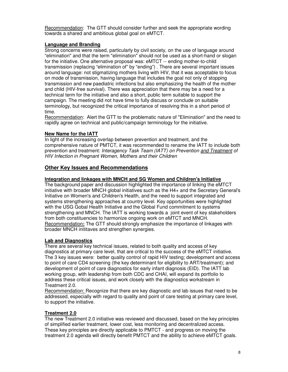Recommendation: The GTT should consider further and seek the appropriate wording towards a shared and ambitious global goal on eMTCT.

## **Language and Branding**

Strong concerns were raised, particularly by civil society, on the use of language around "elimination" and that the term "elimination" should not be used as a short-hand or slogan for the initiative. One alternative proposal was: eMTCT -- ending mother-to-child transmission (replacing "elimination of" by "ending") . There are several important issues around language: not stigmatizing mothers living with HIV, that it was acceptable to focus on mode of transmission, having language that includes the goal not only of stopping transmission and new paediatric infections but also emphasizing the health of the mother and child (HIV-free survival). There was appreciation that there may be a need for a technical term for the initiative and also a short, public term suitable to support the campaign. The meeting did not have time to fully discuss or conclude on suitable terminology, but recognized the critical importance of resolving this in a short period of time.

Recommendation: Alert the GTT to the problematic nature of "Elimination" and the need to rapidly agree on technical and public/campaign terminology for the initiative.

## **New Name for the IATT**

In light of the increasing overlap between prevention and treatment, and the comprehensive nature of PMTCT, it was recommended to rename the IATT to include both prevention and treatment: Interagency Task Team (IATT) on Prevention and Treatment of HIV Infection in Pregnant Women, Mothers and their Children

## **Other Key Issues and Recommendations**

#### **Integration and linkages with MNCH and SG Women and Children's Initiative**

The background paper and discussion highlighted the importance of linking the eMTCT initiative with broader MNCH global initiatives such as the H4+ and the Secretary General's Initiative on Women's and Children's Health, and the need to support integrated and systems strengthening approaches at country level. Key opportunities were highlighted with the USG Gobal Health Initiative and the Global Fund commitment to systems strengthening and MNCH. The IATT is working towards a joint event of key stakeholders from both constituencies to harmonize ongoing work on eMTCT and MNCH. Recommendation**:** The GTT should strongly emphasize the importance of linkages with broader MNCH inititaves and strengthen synergies.

## **Lab and Diagnostics**

There are several key technical issues, related to both quality and access of key diagnostics at primary care level, that are critical to the success of the eMTCT initiative. The 3 key issues were: better quality control of rapid HIV testing; development and access to point of care CD4 screening (the key determinant for eligibility to ART/treatment); and development of point of care diagnostics for early infant diagnosis (EID). The IATT lab working group, with leadership from both CDC and CHAI, will expand its portfolio to address these critical issues, and work closely with the diagnostics workstream in Treatment 2.0.

Recommendation: Recognize that there are key diagnostic and lab issues that need to be addressed, especially with regard to quality and point of care testing at primary care level, to support the initiative.

## **Treatment 2.0**

The new Treatment 2.0 initiative was reviewed and discussed, based on the key principles of simplified earlier treatment, lower cost, less monitoring and decentralized access. These key principles are directly applicable to PMTCT - and progress on moving the treatment 2.0 agenda will directly benefit PMTCT and the ability to achieve eMTCT goals.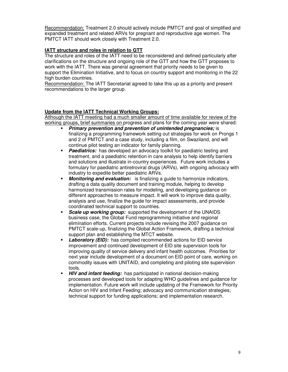Recommendation: Treatment 2.0 should actively include PMTCT and goal of simplified and expanded treatment and related ARVs for pregnant and reproductive age women. The PMTCT IATT should work closely with Treatment 2.0.

## **IATT structure and roles in relation to GTT**

The structure and roles of the IATT need to be reconsidered and defined particularly after clarifications on the structure and ongoing role of the GTT and how the GTT proposes to work with the IATT. There was general agreement that priority needs to be given to support the Elimination Initiative, and to focus on country support and monitoring in the 22 high burden countries.

Recommendation: The IATT Secretariat agreed to take this up as a priority and present recommendations to the larger group.

## **Update from the IATT Technical Working Groups:**

Atlhough the IATT meeting had a much smaller amount of time available for review of the working groups, brief summaries on progress and plans for the coming year were shared:

- **Primary prevention and prevention of unintended pregnancies; is** finalizing a programming framework setting out strategies for work on Prongs 1 and 2 of PMTCT and a case study, including a film, on Swaziland, and will continue pilot testing an indicator for family planning.
- **Paediatrics:** has developed an advocacy toolkit for paediatric testing and treatment, and a paediatric retention in care analysis to help identify barriers and solutions and illustrate in-country experiences. Future work includes a formulary for paediatric antiretroviral drugs (ARVs), with ongoing advocacy with industry to expedite better paediatric ARVs.
- **Monitoring and evaluation:** is finalizing a guide to harmonize indicators, drafting a data quality document and training module, helping to develop harmonized transmission rates for modeling, and developing guidance on different approaches to measure impact. It will work to improve data quality, analysis and use, finalize the guide for impact assessments, and provide coordinated technical support to countries.
- **Scale up working group:** supported the development of the UNAIDS business case, the Global Fund reprogramming initiative and regional elimination efforts. Current projects include revising the 2007 guidance on PMTCT scale-up, finalizing the Global Action Framework, drafting a technical support plan and establishing the MTCT website.
- Laboratory (EID): has compiled recommended actions for EID service improvement and continued development of EID site supervision tools for improving quality of service delivery and infant health outcomes. Priorities for next year include development of a document on EID point of care, working on commodity issues with UNITAID, and completing and piloting site supervision tools.
- **HIV and infant feeding:** has participated in national decision-making processes and developed tools for adapting WHO guidelines and guidance for implementation. Future work will include updating of the Framework for Priority Action on HIV and Infant Feeding; advocacy and communication strategies; technical support for funding applications; and implementation research.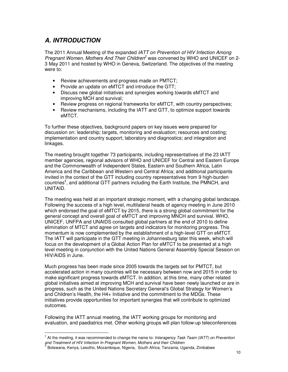# **A. INTRODUCTION**

The 2011 Annual Meeting of the expanded IATT on Prevention of HIV Infection Among Pregnant Women, Mothers And Their Children<sup>2</sup> was convened by WHO and UNICEF on 2-3 May 2011 and hosted by WHO in Geneva, Switzerland. The objectives of the meeting were to:

- Review achievements and progress made on PMTCT;
- Provide an update on eMTCT and introduce the GTT;
- Discuss new global initiatives and synergies working towards eMTCT and improving MCH and survival;
- Review progress on regional frameworks for eMTCT, with country perspectives;
- Review mechanisms, including the IATT and GTT, to optimize support towards eMTCT.

To further these objectives, background papers on key issues were prepared for discussion on: leadership; targets, monitoring and evaluation; resources and costing; implementation and country support; laboratory and diagnostics; and integration and linkages.

The meeting brought together 73 participants, including representatives of the 23 IATT member agencies, regional advisors of WHO and UNICEF for Central and Eastern Europe and the Commonwealth of Independent States, Eastern and Southern Africa, Latin America and the Caribbean and Western and Central Africa; and additional participants invited in the context of the GTT including country representatives from 9 high-burden countries<sup>3</sup>, and additional GTT partners including the Earth Institute, the PMNCH, and UNITAID.

The meeting was held at an important strategic moment, with a changing global landscape. Following the success of a high level, multilateral heads of agency meeting in June 2010 which endorsed the goal of eMTCT by 2015, there is a strong global commitment for the general concept and overall goal of eMTCT and improving MNCH and survival. WHO, UNICEF, UNFPA and UNAIDS consulted global partners at the end of 2010 to define elimination of MTCT and agree on targets and indicators for monitoring progress. This momentum is now complemented by the establishment of a high-level GTT on eMTCT. The IATT will participate in the GTT meeting in Johannesburg later this week, which will focus on the development of a Global Action Plan for eMTCT to be presented at a high level meeting in conjunction with the United Nations General Assembly Special Session on HIV/AIDS in June.

Much progress has been made since 2005 towards the targets set for PMTCT, but accelerated action in many countries will be necessary between now and 2015 in order to make significant progress towards eMTCT. In addition, at this time, many other related global initiatives aimed at improving MCH and survival have been newly launched or are in progress, such as the United Nations Secretary General's Global Strategy for Women's and Children's Health, the H4+ Initiative and the commitment to the MDGs. These initiatives provide opportunities for important synergies that will contribute to optimized outcomes.

Following the IATT annual meeting, the IATT working groups for monitoring and evaluation, and paediatrics met. Other working groups will plan follow-up teleconferences

-

 $^{2}$  At the meeting, it was recommended to change the name to: Interagency Task Team (IATT) on Prevention and Treatment of HIV Infection In Pregnant Women, Mothers and their Children

<sup>3</sup> Botswana, Kenya, Lesotho, Mozambique, Nigeria, South Africa, Tanzania, Uganda, Zimbabwe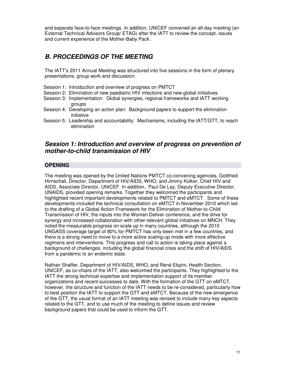and separate face-to-face meetings. In addition, UNICEF convened an all-day meeting (an External Technical Advisors Group/ ETAG) after the IATT to review the concept, issues and current experience of the Mother-Baby Pack.

# **B. PROCEEDINGS OF THE MEETING**

The IATT's 2011 Annual Meeting was structured into five sessions in the form of plenary presentations, group work and discussion:

- Session 1: Introduction and overview of progress on PMTCT
- Session 2: Elimination of new paediatric HIV infections and new global initiatives
- Session 3: Implementation: Global synergies, regional frameworks and IATT working groups
- Session 4: Developing an action plan: Background papers to support the elimination initiative
- Session 5: Leadership and accountability: Mechanisms, including the IATT/GTT, to reach elimination

## **Session 1: Introduction and overview of progress on prevention of mother-to-child transmission of HIV**

## **OPENING**

The meeting was opened by the United Nations PMTCT co-convening agencies, Gottfried Hirnschall, Director, Department of HIV/AIDS, WHO; and Jimmy Kolker, Chief HIV and AIDS, Associate Director, UNICEF. In addition, Paul De Lay, Deputy Executive Director, UNAIDS, provided opening remarks. Together they welcomed the participants and highlighted recent important developments related to PMTCT and eMTCT. Some of these developments included the technical consultation on eMTCT in November 2010 which led to the drafting of a Global Action Framework for the Elimination of Mother-to-Child Transmission of HIV, the inputs into the Women Deliver conference, and the drive for synergy and increased collaboration with other relevant global initiatives on MNCH. They noted the measurable progress on scale up in many countries, although the 2010 UNGASS coverage target of 80% for PMTCT has only been met in a few countries, and there is a strong need to move to a more active scaling-up mode with more effective regimens and interventions. This progress and call to action is taking place against a background of challenges, including the global financial crisis and the shift of HIV/AIDS from a pandemic to an endemic state.

Nathan Shaffer, Department of HIV/AIDS, WHO, and René Ekpini, Health Section, UNICEF, as co-chairs of the IATT, also welcomed the participants. They highlighted to the IATT the strong technical expertise and implementation support of its member organizations and recent successes to date. With the formation of the GTT on eMTCT, however, the structure and function of the IATT needs to be re-considered, particularly how to best position the IATT to support the GTT and eMTCT. Because of the new emergence of the GTT, the usual format of an IATT meeting was revised to include many key aspects related to the GTT, and to use much of the meeting to define issues and review background papers that could be used to inform the GTT.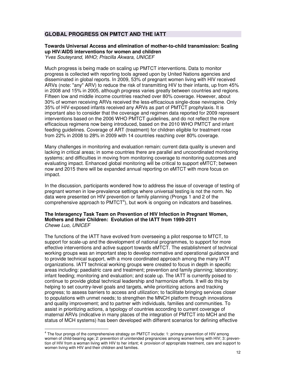## **GLOBAL PROGRESS ON PMTCT AND THE IATT**

## **Towards Universal Access and elimination of mother-to-child transmission: Scaling up HIV/AIDS interventions for women and children**

Yves Souteyrand, WHO; Priscilla Akwara, UNICEF

Much progress is being made on scaling up PMTCT interventions. Data to monitor progress is collected with reporting tools agreed upon by United Nations agencies and disseminated in global reports. In 2009, 53% of pregnant women living with HIV received ARVs (note: "any" ARV) to reduce the risk of transmitting HIV to their infants, up from 45% in 2008 and 15% in 2005, although progress varies greatly between countries and regions. Fifteen low and middle income countries reached over 80% coverage. However, about 30% of women receiving ARVs received the less-efficacious single-dose nevirapine. Only 35% of HIV-exposed infants received any ARVs as part of PMTCT prophylaxis. It is important also to consider that the coverage and regimen data reported for 2009 represent interventions based on the 2006 WHO PMTCT guidelines, and do not reflect the more efficacious regimens now being introduced, based on the 2010 WHO PMTCT and infant feeding guidelines. Coverage of ART (treatment) for children eligible for treatment rose from 22% in 2008 to 28% in 2009 with 14 countries reaching over 80% coverage.

Many challenges in monitoring and evaluation remain: current data quality is uneven and lacking in critical areas; in some countries there are parallel and uncoordinated monitoring systems; and difficulties in moving from monitoring coverage to monitoring outcomes and evaluating impact. Enhanced global monitoring will be critical to support eMTCT; between now and 2015 there will be expanded annual reporting on eMTCT with more focus on impact.

In the discussion, participants wondered how to address the issue of coverage of testing of pregnant women in low-prevalence settings where universal testing is not the norm. No data were presented on HIV prevention or family planning (Prongs 1 and 2 of the comprehensive approach to  $PMTCT<sup>4</sup>$ ), but work is ongoing on indicators and baselines.

#### **The Interagency Task Team on Prevention of HIV Infection in Pregnant Women, Mothers and their Children: Evolution of the IATT from 1999-2011**  Chewe Luo, UNICEF

The functions of the IATT have evolved from overseeing a pilot response to MTCT, to support for scale-up and the development of national programmes, to support for more effective interventions and active support towards eMTCT. The establishment of technical working groups was an important step to develop normative and operational guidance and to provide technical support, with a more coordinated approach among the many IATT organizations. IATT technical working groups were created to focus in depth in specific areas including: paediatric care and treatment; prevention and family planning; laboratory; infant feeding; monitoring and evaluation; and scale up. The IATT is currently poised to continue to provide global technical leadership and harmonize efforts. It will do this by helping to set country-level goals and targets, while prioritizing actions and tracking progress; to assess barriers to access and utilization; to facilitate bringing services closer to populations with unmet needs; to strengthen the MNCH platform through innovations and quality improvement; and to partner with individuals, families and communities. To assist in prioritizing actions, a typology of countries according to current coverage of maternal ARVs (indicative in many places of the integration of PMTCT into MCH and the status of MCH systems) has been developed with different scenarios for defining effective

 4 The four prongs of the comprehensive strategy on PMTCT include: 1: primary prevention of HIV among women of child-bearing age; 2: prevention of unintended pregnancies among women living with HIV; 3: prevention of HIV from a woman living with HIV to her infant; 4: provision of appropriate treatment, care and support to women living with HIV and their children and families.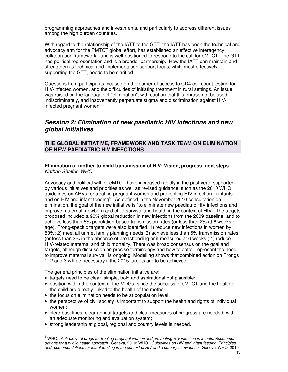programming approaches and investments, and particularly to address different issues among the high burden countries.

With regard to the relationship of the IATT to the GTT, the IATT has been the technical and advocacy arm for the PMTCT global effort, has established an effective interagency collaboration framework, and is well-positioned to respond to the call for eMTCT. The GTT has political representation and is a broader partnership. How the IATT can maintain and strengthen its technical and implementation support focus, while most effectively supporting the GTT, needs to be clarified.

Questions from participants focused on the barrier of access to CD4 cell count testing for HIV-infected women, and the difficulties of initiating treatment in rural settings. An issue was raised on the language of "elimination", with caution that this phrase not be used indiscriminately, and inadvertently perpetuate stigma and discrimination against HIVinfected pregnant women.

## **Session 2: Elimination of new paediatric HIV infections and new global initiatives**

## **THE GLOBAL INITIATIVE, FRAMEWORK AND TASK TEAM ON ELIMINATION OF NEW PAEDIATRIC HIV INFECTIONS**

#### **Elimination of mother-to-child transmission of HIV: Vision, progress, next steps**  Nathan Shaffer, WHO

Advocacy and political will for eMTCT have increased rapidly in the past year, supported by various initiatives and priorities as well as revised guidance, such as the 2010 WHO guidelines on ARVs for treating pregnant women and preventing HIV infection in infants and on HIV and infant feeding<sup>5</sup>. As defined in the November 2010 consultation on elimination, the goal of the new initiative is "to eliminate new paediatric HIV infections and improve maternal, newborn and child survival and health in the context of HIV". The targets proposed included a 90% global reduction in new infections from the 2009 baseline, and to achieve less than 5% population-based transmission rates (or less than 2% at 6 weeks of age). Prong-specific targets were also identified: 1) reduce new infections in women by 50%; 2) meet all unmet family planning needs; 3) achieve less than 5% transmission rates (or less than 2% in the absence of breastfeeding or if measured at 6 weeks ; 4) reduce HIV-related maternal and child mortality. There was broad consensus on the goal and targets, although discussion on precise terminology and how to better represent the need to improve maternal survival is ongoing. Modelling shows that combined action on Prongs 1, 2 and 3 will be necessary if the 2015 targets are to be achieved.

The general principles of the elimination initiative are:

-

- targets need to be clear, simple, bold and aspirational but plausible;
- position within the context of the MDGs, since the success of eMTCT and the health of the child are directly linked to the health of the mother;
- the focus on elimination needs to be at population level;
- the perspective of civil society is important to support the health and rights of individual women;
- clear baselines, clear annual targets and clear measures of progress are needed, with an adequate monitoring and evaluation system;
- strong leadership at global, regional and country levels is needed.

<sup>&</sup>lt;sup>5</sup> WHO. Antiretroviral drugs for treating pregnant women and preventing HIV infection in infants: Recommendations for a public health approach. Geneva, 2010; WHO. Guidelines on HIV and infant feeding: Principles and recommendations for infant feeding in the context of HIV and a sumary of evidence. Geneva, WHO, 2010.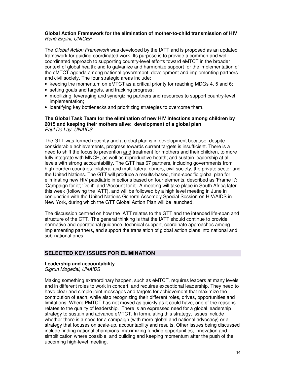#### **Global Action Framework for the elimination of mother-to-child transmission of HIV**  René Ekpini, UNICEF

The Global Action Framework was developed by the IATT and is proposed as an updated framework for guiding coordinated work. Its purpose is to provide a common and wellcoordinated approach to supporting country-level efforts toward eMTCT in the broader context of global health; and to galvanize and harmonize support for the implementation of the eMTCT agenda among national government, development and implementing partners and civil society. The four strategic areas include:

- keeping the momentum on eMTCT as a critical priority for reaching MDGs 4, 5 and 6;
- setting goals and targets, and tracking progress;
- mobilizing, leveraging and synergizing partners and resources to support country-level implementation;
- identifying key bottlenecks and prioritizing strategies to overcome them.

#### **The Global Task Team for the elimination of new HIV infections among children by 2015 and keeping their mothers alive: development of a global plan**  Paul De Lay, UNAIDS

The GTT was formed recently and a global plan is in development because, despite considerable achievements, progress towards current targets is insufficient. There is a need to shift the focus to prevention and treatment for mothers and their children, to more fully integrate with MNCH, as well as reproductive health; and sustain leadership at all levels with strong accountability. The GTT has 67 partners, including governments from high-burden countries; bilateral and multi-lateral donors, civil society, the private sector and the United Nations. The GTT will produce a results-based, time-specific global plan for eliminating new HIV paediatric infections based on four elements, described as 'Frame It'; 'Campaign for it'; 'Do it'; and 'Account for it'. A meeting will take place in South Africa later this week (following the IATT), and will be followed by a high level meeting in June in conjunction with the United Nations General Assembly Special Session on HIV/AIDS in New York, during which the GTT Global Action Plan will be launched.

The discussion centred on how the IATT relates to the GTT and the intended life-span and structure of the GTT. The general thinking is that the IATT should continue to provide normative and operational guidance, technical support, coordinate approaches among implementing partners, and support the translation of global action plans into national and sub-national ones.

## **SELECTED KEY ISSUES FOR ELIMINATION**

## **Leadership and accountability**

Sigrun Møgedal, UNAIDS

Making something extraordinary happen, such as eMTCT, requires leaders at many levels and in different roles to work in concert, and requires exceptional leadership. They need to have clear and simple joint messages and targets for achievement that maximize the contribution of each, while also recognizing their different roles, drives, opportunities and limitations. Where PMTCT has not moved as quickly as it could have, one of the reasons relates to the quality of leadership. There is an expressed need for a global leadership strategy to sustain and advance eMTCT. In formulating this strategy, issues include whether there is a need for a campaign (with more global and national advocacy) or a strategy that focuses on scale-up, accountability and results. Other issues being discussed include finding national champions, maximizing funding opportunities, innovation and simplification where possible, and building and keeping momentum after the push of the upcoming high-level meeting.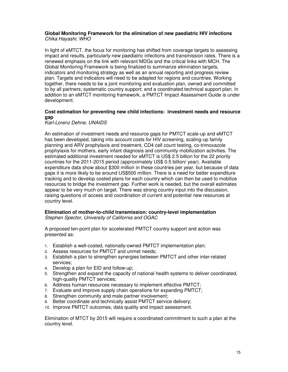#### **Global Monitoring Framework for the elimination of new paediatric HIV infections**  Chika Hayashi, WHO

In light of eMTCT, the focus for monitoring has shifted from coverage targets to assessing impact and results, particularly new paediatric infections and transmission rates. There is a renewed emphasis on the link with relevant MDGs and the critical links with MCH. The Global Monitoring Framework is being finalized to summarize elimination targets, indicators and monitoring strategy as well as an annual reporting and progress review plan. Targets and indicators will need to be adapted for regions and countries. Working together, there needs to be a joint monitoring and evaluation plan, owned and committed to by all partners; systematic country support; and a coordinated technical support plan. In addition to an eMTCT monitoring framework, a PMTCT Impact Assessment Guide is under development.

## **Cost estimation for preventing new child infections: investment needs and resource gap**

#### Karl-Lorenz Dehne, UNAIDS

An estimation of investment needs and resource gaps for PMTCT scale-up and eMTCT has been developed, taking into account costs for HIV screening, scaling-up family planning and ARV prophylaxis and treatment, CD4 cell count testing, co-trimoxazole prophylaxis for mothers, early infant diagnosis and community mobilization activities. The estimated additional investment needed for eMTCT is US\$ 2.5 billion for the 22 priority countries for the 2011-2015 period (approximately US\$ 0.5 billion/ year). Available expenditure data show about \$300 million in these countries per year, but because of data gaps it is more likely to be around US\$500 million. There is a need for better expenditure tracking and to develop costed plans for each country which can then be used to mobilize resources to bridge the investment gap. Further work is needed, but the overall estimates appear to be very much on target. There was strong country input into the discussion, raising questions of access and coordination of current and potential new resources at country level.

#### **Elimination of mother-to-child transmission: country-level implementation**  Stephen Spector, University of California and OGAC

A proposed ten-point plan for accelerated PMTCT country support and action was presented as:

- 1. Establish a well-costed, nationally-owned PMTCT implementation plan;
- 2. Assess resources for PMTCT and unmet needs;
- 3. Establish a plan to strengthen synergies between PMTCT and other inter-related services;
- 4. Develop a plan for EID and follow-up;
- 5. Strengthen and expand the capacity of national health systems to deliver coordinated, high-quality PMTCT services;
- 6. Address human resources necessary to implement effective PMTCT;
- 7. Evaluate and improve supply chain operations for expanding PMTCT;
- 8. Strengthen community and male partner involvement;
- 9. Better coordinate and technically assist PMTCT service delivery;
- 10. Improve PMTCT outcomes, data quality and impact assessment.

Elimination of MTCT by 2015 will require a coordinated commitment to such a plan at the country level.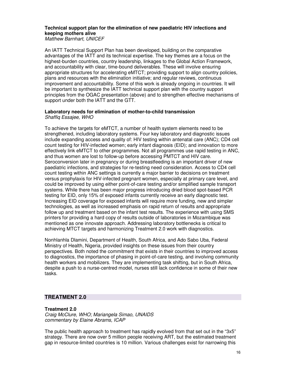## **Technical support plan for the elimination of new paediatric HIV infections and keeping mothers alive**

Matthew Barnhart, UNICEF

An IATT Technical Support Plan has been developed, building on the comparative advantages of the IATT and its technical expertise. The key themes are a focus on the highest-burden countries, country leadership, linkages to the Global Action Framework, and accountability with clear, time-bound deliverables. These will involve ensuring appropriate structures for accelerating eMTCT; providing support to align country policies, plans and resources with the elimination initiative; and regular reviews, continuous improvement and accountability. Some of this work is already ongoing in countries. It will be important to synthesize the IATT technical support plan with the country support principles from the OGAC presentation (above) and to strengthen effective mechanisms of support under both the IATT and the GTT.

#### **Laboratory needs for elimination of mother-to-child transmission**  Shaffiq Essajee, WHO

To achieve the targets for eMTCT, a number of health system elements need to be strengthened, including laboratory systems. Four key laboratory and diagnostic issues include expanding access and quality of: HIV testing within antenatal care (ANC); CD4 cell count testing for HIV-infected women; early infant diagnosis (EID); and innovation to more effectively link eMTCT to other programmes. Not all programmes use rapid testing in ANC, and thus women are lost to follow-up before accessing PMTCT and HIV care. Seroconversion later in pregnancy or during breastfeeding is an important driver of new paediatric infections, and strategies for re-testing need consideration. Access to CD4 cell count testing within ANC settings is currently a major barrier to decisions on treatment versus prophylaxis for HIV-infected pregnant women, especially at primary care level, and could be improved by using either point-of-care testing and/or simplified sample transport systems. While there has been major progress introducing dried blood spot-based PCR testing for EID, only 15% of exposed infants currently receive an early diagnostic test. Increasing EID coverage for exposed infants will require more funding, new and simpler technologies, as well as increased emphasis on rapid return of results and appropriate follow up and treatment based on the infant test results. The experience with using SMS printers for providing a hard copy of results outside of laboratories in Mozambique was mentioned as one innovate approach. Addressing laboratory bottlenecks is critical to achieving MTCT targets and harmonizing Treatment 2.0 work with diagnostics.

Nonhlanhla Dlamini, Department of Health, South Africa, and Ado Sabo Uba, Federal Ministry of Health, Nigeria, provided insights on these issues from their country perspectives. Both noted the commitment that exists in their countries to improved access to diagnostics, the importance of phasing in point-of-care testing, and involving community health workers and mobilizers. They are implementing task shifting, but in South Africa, despite a push to a nurse-centred model, nurses still lack confidence in some of their new tasks.

## **TREATMENT 2.0**

## **Treatment 2.0**

Craig McClure, WHO; Mariangela Simao, UNAIDS commentary by Elaine Abrams, ICAP

The public health approach to treatment has rapidly evolved from that set out in the "3x5" strategy. There are now over 5 million people receiving ART, but the estimated treatment gap in resource-limited countries is 10 million. Various challenges exist for narrowing this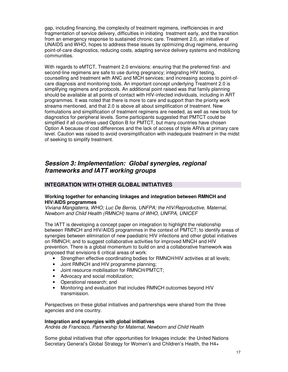gap, including financing, the complexity of treatment regimens, inefficiencies in and fragmentation of service delivery, difficulties in initiating treatment early, and the transition from an emergency response to sustained chronic care. Treatment 2.0, an initiative of UNAIDS and WHO, hopes to address these issues by optimizing drug regimens, ensuring point-of-care diagnostics, reducing costs, adapting service delivery systems and mobilizing communities.

With regards to eMTCT, Treatment 2.0 envisions: ensuring that the preferred first- and second-line regimens are safe to use during pregnancy; integrating HIV testing, counselling and treatment with ANC and MCH services; and increasing access to point-ofcare diagnosis and monitoring tools. An important concept underlying Treatment 2.0 is simplifying regimens and protocols. An additional point raised was that family planning should be available at all points of contact with HIV-infected individuals, including in ART programmes. It was noted that there is more to care and support than the priority work streams mentioned, and that 2.0 is above all about simplification of treatment. New formulations and simplification of treatment regimens are needed, as well as new tools for diagnostics for peripheral levels. Some participants suggested that PMTCT could be simplified if all countries used Option B for PMTCT, but many countries have chosen Option A because of cost differences and the lack of access of triple ARVs at primary care level. Caution was raised to avoid oversimplification with inadequate treatment in the midst of seeking to simplify treatment.

## **Session 3: Implementation: Global synergies, regional frameworks and IATT working groups**

## **INTEGRATION WITH OTHER GLOBAL INITIATIVES**

## **Working together for enhancing linkages and integration between RMNCH and HIV/AIDS programmes**

Viviana Mangiaterra, WHO; Luc De Bernis, UNFPA; the HIV/Reproductive, Maternal, Newborn and Child Health (RMNCH) teams of WHO, UNFPA, UNICEF

The IATT is developing a concept paper on integration to highlight the relationship between RMNCH and HIV/AIDS programmes in the context of PMTCT; to identify areas of synergies between elimination of new paediatric HIV infections and other global initiatives on RMNCH; and to suggest collaborative activities for improved MNCH and HIV prevention. There is a global momentum to build on and a collaborative framework was proposed that envisions 6 critical areas of work:

- Strengthen effective coordinating bodies for RMNCH/HIV activities at all levels;
- Joint RMNCH and HIV programme planning;
- Joint resource mobilisation for RMNCH/PMTCT;
- Advocacy and social mobilization;
- Operational research; and
- Monitoring and evaluation that includes RMNCH outcomes beyond HIV transmission.

Perspectives on these global initiatives and partnerships were shared from the three agencies and one country.

## **Integration and synergies with global initiatives**

Andrés de Francisco, Partnership for Maternal, Newborn and Child Health

Some global initiatives that offer opportunities for linkages include: the United Nations Secretary General's Global Strategy for Women's and Children's Health, the H4+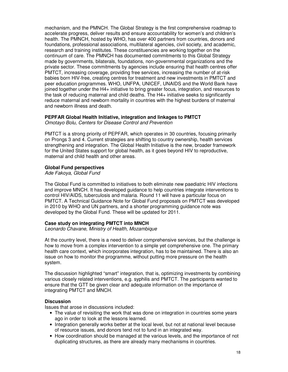mechanism, and the PMNCH. The Global Strategy is the first comprehensive roadmap to accelerate progress, deliver results and ensure accountability for women's and children's health. The PMNCH, hosted by WHO, has over 400 partners from countries, donors and foundations, professional associations, multilateral agencies, civil society, and academic, research and training institutes. These constituencies are working together on the continuum of care. The PMNCH has documented commitments to this Global Strategy made by governments, bilaterals, foundations, non-governmental organizations and the private sector. These commitments by agencies include ensuring that health centres offer PMTCT, increasing coverage, providing free services, increasing the number of at-risk babies born HIV-free, creating centres for treatment and new investments in PMTCT and peer education programmes. WHO, UNFPA, UNICEF, UNAIDS and the World Bank have joined together under the H4+ initiative to bring greater focus, integration, and resources to the task of reducing maternal and child deaths. The H4+ initiative seeks to significantly reduce maternal and newborn mortality in countries with the highest burdens of maternal and newborn illness and death.

## **PEPFAR Global Health Initiative, integration and linkages to PMTCT**

Omotayo Bolu, Centers for Disease Control and Prevention

PMTCT is a strong priority of PEPFAR, which operates in 30 countries, focusing primarily on Prongs 3 and 4. Current strategies are shifting to country ownership, health services strengthening and integration. The Global Health Initiative is the new, broader framework for the United States support for global health, as it goes beyond HIV to reproductive, maternal and child health and other areas.

## **Global Fund perspectives**

Ade Fakoya, Global Fund

The Global Fund is committed to initiatives to both eliminate new paediatric HIV infections and improve MNCH. It has developed guidance to help countries integrate interventions to control HIV/AIDS, tuberculosis and malaria. Round 11 will have a particular focus on PMTCT. A Technical Guidance Note for Global Fund proposals on PMTCT was developed in 2010 by WHO and UN partners, and a shorter programming guidance note was developed by the Global Fund. These will be updated for 2011.

## **Case study on integrating PMTCT into MNCH**

Leonardo Chavane, Ministry of Health, Mozambique

At the country level, there is a need to deliver comprehensive services, but the challenge is how to move from a complex intervention to a simple yet comprehensive one. The primary health care context, which incorporates integration, has to be maintained. There is also an issue on how to monitor the programme, without putting more pressure on the health system.

The discussion highlighted "smart" integration, that is, optimizing investments by combining various closely related interventions, e.g. syphilis and PMTCT. The participants wanted to ensure that the GTT be given clear and adequate information on the importance of integrating PMTCT and MNCH.

## **Discussion**

Issues that arose in discussions included:

- The value of revisiting the work that was done on integration in countries some years ago in order to look at the lessons learned.
- Integration generally works better at the local level, but not at national level because of resource issues, and donors tend not to fund in an integrated way.
- How coordination should be managed at the various levels, and the importance of not duplicating structures, as there are already many mechanisms in countries.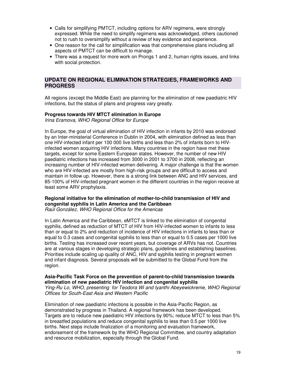- Calls for simplifying PMTCT, including options for ARV regimens, were strongly expressed. While the need to simplify regimens was acknowledged, others cautioned not to rush to oversimplify without a review of key evidence and experience.
- One reason for the call for simplification was that comprehensive plans including all aspects of PMTCT can be difficult to manage.
- There was a request for more work on Prongs 1 and 2, human rights issues, and links with social protection.

## **UPDATE ON REGIONAL ELIMINATION STRATEGIES, FRAMEWORKS AND PROGRESS**

All regions (except the Middle East) are planning for the elimination of new paediatric HIV infections, but the status of plans and progress vary greatly.

#### **Progress towards HIV MTCT elimination in Europe**

Irina Eramova, WHO Regional Office for Europe

In Europe, the goal of virtual elimination of HIV infection in infants by 2010 was endorsed by an Inter-ministerial Conference in Dublin in 2004, with elimination defined as less than one HIV-infected infant per 100 000 live births and less than 2% of infants born to HIVinfected women acquiring HIV infections. Many countries in the region have met these targets, except for some Eastern European states. However, the number of new HIV paediatric infections has increased from 3000 in 2001 to 3700 in 2008, reflecting an increasing number of HIV-infected women delivering. A major challenge is that the women who are HIV-infected are mostly from high-risk groups and are difficult to access and maintain in follow up. However, there is a strong link between ANC and HIV services, and 85-100% of HIV-infected pregnant women in the different countries in the region receive at least some ARV prophylaxis.

## **Regional initiative for the elimination of mother-to-child transmission of HIV and congenital syphilis in Latin America and the Caribbean**

Raúl González, WHO Regional Office for the Americas

In Latin America and the Caribbean, eMTCT is linked to the elimination of congenital syphilis, defined as reduction of MTCT of HIV from HIV-infected women to infants to less than or equal to 2% and reduction of incidence of HIV infections in infants to less than or equal to 0.3 cases and congenital syphilis to less than or equal to 0.5 cases per 1000 live births. Testing has increased over recent years, but coverage of ARVs has not. Countries are at various stages in developing strategic plans, guidelines and establishing baselines. Priorities include scaling up quality of ANC, HIV and syphilis testing in pregnant women and infant diagnosis. Several proposals will be submitted to the Global Fund from the region.

#### **Asia-Pacific Task Force on the prevention of parent-to-child transmission towards elimination of new paediatric HIV infection and congenital syphilis**

Ying-Ru Lo, WHO, presenting for Teodora Wi and Iyanthi Abeyewickreme, WHO Regional Offices for South-East Asia and Western Pacific

Elimination of new paediatric infections is possible in the Asia-Pacific Region, as demonstrated by progress in Thailand. A regional framework has been developed. Targets are to reduce new paediatric HIV infections by 90%; reduce MTCT to less than 5% in breastfed populations and reduce congenital syphilis to less than 0.5 per 1000 live births. Next steps include finalization of a monitoring and evaluation framework, endorsement of the framework by the WHO Regional Committee, and country adaptation and resource mobilization, especially through the Global Fund.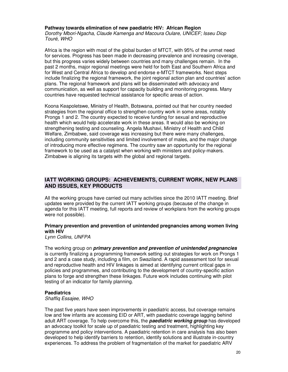#### **Pathway towards elimination of new paediatric HIV: African Region**

Dorothy Mbori-Ngacha, Claude Kamenga and Macoura Oulare, UNICEF; Isseu Diop Touré, WHO

Africa is the region with most of the global burden of MTCT, with 95% of the unmet need for services. Progress has been made in decreasing prevalence and increasing coverage, but this progress varies widely between countries and many challenges remain. In the past 2 months, major regional meetings were held for both East and Southern Africa and for West and Central Africa to develop and endorse e-MTCT frameworks. Next steps include finalizing the regional framework, the joint regional action plan and countries' action plans. The regional framework and plans will be disseminated with advocacy and communication, as well as support for capacity building and monitoring progress. Many countries have requested technical assistance for specific areas of action.

Koona Keapoletswe, Ministry of Health, Botswana, pointed out that her country needed strategies from the regional office to strengthen country work in some areas, notably Prongs 1 and 2. The country expected to receive funding for sexual and reproductive health which would help accelerate work in these areas. It would also be working on strengthening testing and counseling. Angela Mushavi, Ministry of Health and Child Welfare, Zimbabwe, said coverage was increasing but there were many challenges, including community sensitivities and limited involvement of males, and the major change of introducing more effective regimens. The country saw an opportunity for the regional framework to be used as a catalyst when working with ministers and policy-makers. Zimbabwe is aligning its targets with the global and regional targets.

## **IATT WORKING GROUPS: ACHIEVEMENTS, CURRENT WORK, NEW PLANS AND ISSUES, KEY PRODUCTS**

All the working groups have carried out many activities since the 2010 IATT meeting. Brief updates were provided by the current IATT working groups (because of the change in agenda for this IATT meeting, full reports and review of workplans from the working groups were not possible).

## **Primary prevention and prevention of unintended pregnancies among women living with HIV**

Lynn Collins, UNFPA

The working group on **primary prevention and prevention of unintended pregnancies**  is currently finalizing a programming framework setting out strategies for work on Prongs 1 and 2 and a case study, including a film, on Swaziland. A rapid assessment tool for sexual and reproductive health and HIV linkages is aimed at identifying current critical gaps in policies and programmes, and contributing to the development of country-specific action plans to forge and strengthen these linkages. Future work includes continuing with pilot testing of an indicator for family planning.

#### **Paediatrics**

Shaffiq Essajee, WHO

The past five years have seen improvements in paediatric access, but coverage remains low and few infants are accessing EID or ART, with paediatric coverage lagging behind adult ART coverage. To help overcome this, the **paediatric working group** has developed an advocacy toolkit for scale up of paediatric testing and treatment, highlighting key programme and policy interventions. A paediatric retention in care analysis has also been developed to help identify barriers to retention, identify solutions and illustrate in-country experiences. To address the problem of fragmentation of the market for paediatric ARV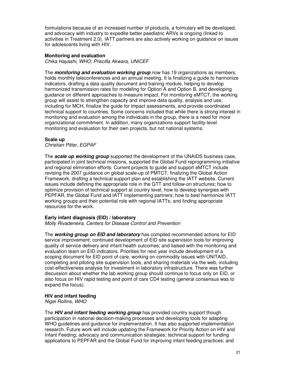formulations because of an increased number of products, a formulary will be developed, and advocacy with industry to expedite better paediatric ARVs is ongoing (linked to activities in Treatment 2.0). IATT partners are also actively working on guidance on issues for adolescents living with HIV.

#### **Monitoring and evaluation**

Chika Hayashi, WHO; Priscilla Akwara, UNICEF

The **monitoring and evaluation working group** now has 19 organizations as members, holds monthly teleconferences and an annual meeting. It is finalizing a guide to harmonize indicators, drafting a data quality document and training module, helping to develop harmonized transmission rates for modeling for Option A and Option B, and developing guidance on different approaches to measure impact. For monitoring eMTCT, the working group will assist to strengthen capacity and improve data quality, analysis and use, including for MCH, finalize the guide for impact assessments, and provide coordinated technical support to countries. Some concerns included that while there is strong interest in monitoring and evaluation among the individuals in the group, there is a need for more organizational commitment. In addition, many organizations support facility-level monitoring and evaluation for their own projects, but not national systems.

#### **Scale up**

Christian Pitter, EGPAF

The **scale up working group** supported the development of the UNAIDS business case, participated in joint technical missions, supported the Global Fund reprogramming initiative and regional elimination efforts. Current projects to guide and support eMTCT include revising the 2007 guidance on global scale-up of PMTCT, finalizing the Global Action Framework, drafting a technical support plan and establishing the IATT website. Current issues include defining the appropriate role in the GTT and follow-on structures; how to optimize provision of technical support at country level, how to develop synergies with PEPFAR, the Global Fund and IATT implementing partners; how to best harmonize IATT working groups and their potential role with regional IATTs; and finding appropriate resources for the work.

#### **Early infant diagnosis (EID) / laboratory**

Molly Rivadeneira, Centers for Disease Control and Prevention

The **working group on EID and laboratory** has compiled recommended actions for EID service improvement; continued development of EID site supervision tools for improving quality of service delivery and infant health outcomes; and liaised with the monitoring and evaluation team on EID indicators. Priorities for next year include development of a scoping document for EID point of care, working on commodity issues with UNITAID, completing and piloting site supervision tools, and sharing materials via the web, including cost-effectiveness analysis for investment in laboratory infrastructure. There was further discussion about whether the lab working group should continue to focus only on EID, or also focus on HIV rapid testing and point of care CD4 testing (general consensus was to expand the focus).

#### **HIV and infant feeding**

Nigel Rollins, WHO

The **HIV and infant feeding working group** has provided country support though participation in national decision-making processes and developing tools for adapting WHO guidelines and guidance for implementation. It has also supported implementation research. Future work will include updating the Framework for Priority Action on HIV and Infant Feeding; advocacy and communication strategies; technical support for funding applications to PEPFAR and the Global Fund for improving infant feeding practices; and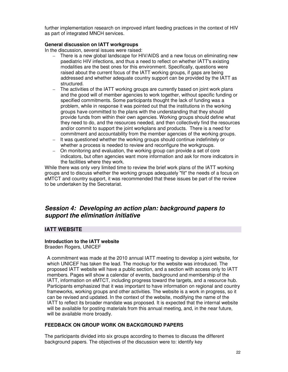further implementation research on improved infant feeding practices in the context of HIV as part of integrated MNCH services.

#### **General discussion on IATT workgroups**

In the discussion, several issues were raised:

- There is a new global landscape for HIV/AIDS and a new focus on eliminating new paediatric HIV infections, and thus a need to reflect on whether IATT's existing modalities are the best ones for this environment. Specifically, questions were raised about the current focus of the IATT working groups, if gaps are being addressed and whether adequate country support can be provided by the IATT as structured.
- The activities of the IATT working groups are currently based on joint work plans and the good will of member agencies to work together, without specific funding or specified commitments. Some participants thought the lack of funding was a problem, while in response it was pointed out that the institutions in the working groups have committed to the plans with the understanding that they should provide funds from within their own agencies. Working groups should define what they need to do, and the resources needed, and then collectively find the resources and/or commit to support the joint workplans and products. There is a need for commitment and accountability from the member agencies of the working groups.
- It was questioned whether the working groups should continue indefinitely or whether a process is needed to review and reconfigure the workgroups.
- On monitoring and evaluation, the working group can provide a set of core indicators, but often agencies want more information and ask for more indicators in the facilities where they work.

While there was only very limited time to review the brief work plans of the IATT working groups and to discuss whether the working groups adequately "fit" the needs of a focus on eMTCT and country support, it was recommended that these issues be part of the review to be undertaken by the Secretariat.

## **Session 4: Developing an action plan: background papers to support the elimination initiative**

## **IATT WEBSITE**

#### **Introduction to the IATT website**

Braeden Rogers, UNICEF

A commitment was made at the 2010 annual IATT meeting to develop a joint website, for which UNICEF has taken the lead. The mockup for the website was introduced. The proposed IATT website will have a public section, and a section with access only to IATT members. Pages will show a calendar of events, background and membership of the IATT, information on eMTCT, including progress toward the targets, and a resource hub. Participants emphasized that it was important to have information on regional and country frameworks, working groups and other activities. The website is a work in progress, so it can be revised and updated. In the context of the website, modifying the name of the IATT to reflect its broader mandate was proposed. It is expected that the internal website will be available for posting materials from this annual meeting, and, in the near future, will be available more broadly.

#### **FEEDBACK ON GROUP WORK ON BACKGROUND PAPERS**

The participants divided into six groups according to themes to discuss the different background papers. The objectives of the discussion were to: identify key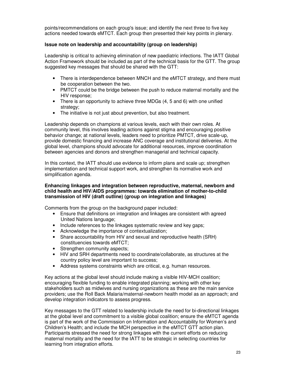points/recommendations on each group's issue; and identify the next three to five key actions needed towards eMTCT. Each group then presented their key points in plenary.

## **Issue note on leadership and accountability (group on leadership)**

Leadership is critical to achieving elimination of new paediatric infections. The IATT Global Action Framework should be included as part of the technical basis for the GTT. The group suggested key messages that should be shared with the GTT:

- There is interdependence between MNCH and the eMTCT strategy, and there must be cooperation between the two.
- PMTCT could be the bridge between the push to reduce maternal mortality and the HIV response;
- There is an opportunity to achieve three MDGs (4, 5 and 6) with one unified strategy;
- The initiative is not just about prevention, but also treatment.

Leadership depends on champions at various levels, each with their own roles. At community level, this involves leading actions against stigma and encouraging positive behavior change; at national levels, leaders need to prioritize PMTCT, drive scale-up, provide domestic financing and increase ANC coverage and institutional deliveries. At the global level, champions should advocate for additional resources, improve coordination between agencies and donors and strengthen managerial and technical capacity.

In this context, the IATT should use evidence to inform plans and scale up; strengthen implementation and technical support work, and strengthen its normative work and simplification agenda.

#### **Enhancing linkages and integration between reproductive, maternal, newborn and child health and HIV/AIDS programmes: towards elimination of mother-to-child transmission of HIV (draft outline) (group on integration and linkages)**

Comments from the group on the background paper included:

- Ensure that definitions on integration and linkages are consistent with agreed United Nations language;
- Include references to the linkages systematic review and key gaps;
- Acknowledge the importance of contextualization;
- Share accountability from HIV and sexual and reproductive health (SRH) constituencies towards eMTCT;
- Strengthen community aspects:
- HIV and SRH departments need to coordinate/collaborate, as structures at the country policy level are important to success;
- Address systems constraints which are critical, e.g. human resources.

Key actions at the global level should include making a visible HIV-MCH coalition; encouraging flexible funding to enable integrated planning; working with other key stakeholders such as midwives and nursing organizations as these are the main service providers; use the Roll Back Malaria/maternal-newborn health model as an approach; and develop integration indicators to assess progress.

Key messages to the GTT related to leadership include the need for bi-directional linkages at the global level and commitment to a visible global coalition; ensure the eMTCT agenda is part of the work of the Commission on Information and Accountability for Women's and Children's Health; and include the MCH perspective in the eMTCT GTT action plan. Participants stressed the need for strong linkages with the current efforts on reducing maternal mortality and the need for the IATT to be strategic in selecting countries for learning from integration efforts.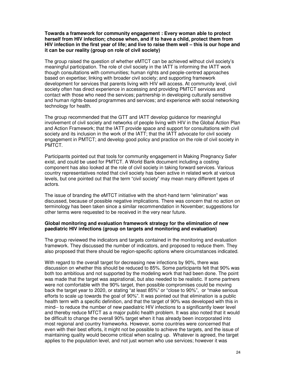**Towards a framework for community engagement : Every woman able to protect herself from HIV infection; choose when, and if to have a child, protect them from HIV infection in the first year of life; and live to raise them well – this is our hope and it can be our reality (group on role of civil society)** 

The group raised the question of whether eMTCT can be achieved without civil society's meaningful participation. The role of civil society in the IATT is informing the IATT work though consultations with communities; human rights and people-centred approaches based on expertise; linking with broader civil society; and supporting framework development for services that parents living with HIV will access. At community level, civil society often has direct experience in accessing and providing PMTCT services and contact with those who need the services; partnership in developing culturally sensitive and human rights-based programmes and services; and experience with social networking technology for health.

The group recommended that the GTT and IATT develop guidance for meaningful involvement of civil society and networks of people living with HIV in the Global Action Plan and Action Framework; that the IATT provide space and support for consultations with civil society and its inclusion in the work of the IATT; that the IATT advocate for civil society engagement in PMTCT; and develop good policy and practice on the role of civil society in PMTCT.

Participants pointed out that tools for community engagement in Making Pregnancy Safer exist, and could be used for PMTCT. A World Bank document including a costing component has also looked at the role of civil society in taking forward services. Various country representatives noted that civil society has been active in related work at various levels, but one pointed out that the term "civil society" may mean many different types of actors.

The issue of branding the eMTCT initiative with the short-hand term "elimination" was discussed, because of possible negative implications. There was concern that no action on terminology has been taken since a similar recommendation in November; suggestions for other terms were requested to be received in the very near future.

#### **Global monitoring and evaluation framework strategy for the elimination of new paediatric HIV infections (group on targets and monitoring and evaluation)**

The group reviewed the indicators and targets contained in the monitoring and evaluation framework. They discussed the number of indicators, and proposed to reduce them. They also proposed that there should be region-specific options where circumstances indicated.

With regard to the overall target for decreasing new infections by 90%, there was discussion on whether this should be reduced to 85%. Some participants felt that 90% was both too ambitious and not supported by the modeling work that had been done. The point was made that the target was aspirational, but also needed to be realistic. If some partners were not comfortable with the 90% target, then possible compromises could be moving back the target year to 2020, or stating "at least 85%" or "close to 90%", or "make serious efforts to scale up towards the goal of 90%". It was pointed out that elimination is a public health term with a specific definition, and that the target of 90% was developed with this in mind-- to reduce the number of new paediatric HIV infections to a significantly lower level and thereby reduce MTCT as a major public health problem. It was also noted that it would be difficult to change the overall 90% target when it has already been incorporated into most regional and country frameworks. However, some countries were concerned that even with their best efforts, it might not be possible to achieve the targets, and the issue of maintaining quality would become critical when scaling up. Whatever is agreed, the target applies to the population level, and not just women who use services; however it was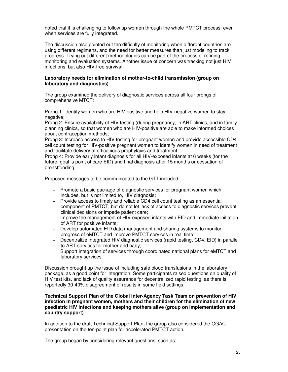noted that it is challenging to follow up women through the whole PMTCT process, even when services are fully integrated.

The discussion also pointed out the difficulty of monitoring when different countries are using different regimens, and the need for better measures than just modeling to track progress. Trying out different methodologies can be part of the process of refining monitoring and evaluation systems. Another issue of concern was tracking not just HIV infections, but also HIV-free survival.

#### **Laboratory needs for elimination of mother-to-child transmission (group on laboratory and diagnostics)**

The group examined the delivery of diagnostic services across all four prongs of comprehensive MTCT:

Prong 1: identify women who are HIV-positive and help HIV-negative women to stay negative:

Prong 2: Ensure availability of HIV testing (during pregnancy, in ART clinics, and in family planning clinics, so that women who are HIV-positive are able to make informed choices about contraception methods;

Prong 3: Increase access to HIV testing for pregnant women and provide accessible CD4 cell count testing for HIV-positive pregnant women to identify women in need of treatment and facilitate delivery of efficacious prophylaxis and treatment;

Prong 4: Provide early infant diagnosis for all HIV-exposed infants at 6 weeks (for the future, goal is point of care EID) and final diagnosis after 15 months or cessation of breastfeeding.

Proposed messages to be communicated to the GTT included:

- Promote a basic package of diagnostic services for pregnant women which includes, but is not limited to, HIV diagnosis;
- Provide access to timely and reliable CD4 cell count testing as an essential component of PMTCT, but do not let lack of access to diagnostic services prevent clinical decisions or impede patient care;
- Improve the management of HIV-exposed infants with EID and immediate initiation of ART for positive infants;
- Develop automated EID data management and sharing systems to monitor progress of eMTCT and improve PMTCT services in real time;
- Decentralize integrated HIV diagnostic services (rapid testing, CD4, EID) in parallel to ART services for mother and baby;
- Support integration of services through coordinated national plans for eMTCT and laboratory services.

Discussion brought up the issue of including safe blood transfusions in the laboratory package, as a good point for integration. Some participants raised questions on quality of HIV test kits, and lack of quality assurance for decentralized rapid testing, as there is reportedly 30-40% disagreement of results in some field settings.

#### **Technical Support Plan of the Global Inter-Agency Task Team on prevention of HIV infection in pregnant women, mothers and their children for the elimination of new paediatric HIV infections and keeping mothers alive (group on implementation and country support)**

In addition to the draft Technical Support Plan, the group also considered the OGAC presentation on the ten-point plan for accelerated PMTCT action.

The group began by considering relevant questions, such as: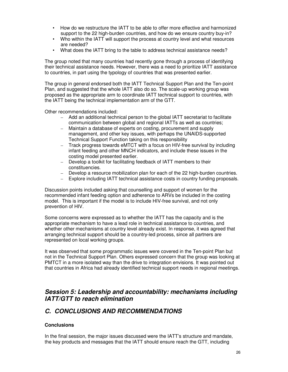- How do we restructure the IATT to be able to offer more effective and harmonized support to the 22 high-burden countries, and how do we ensure country buy-in?
- Who within the IATT will support the process at country level and what resources are needed?
- What does the IATT bring to the table to address technical assistance needs?

The group noted that many countries had recently gone through a process of identifying their technical assistance needs. However, there was a need to prioritize IATT assistance to countries, in part using the typology of countries that was presented earlier.

The group in general endorsed both the IATT Technical Support Plan and the Ten-point Plan, and suggested that the whole IATT also do so. The scale-up working group was proposed as the appropriate arm to coordinate IATT technical support to countries, with the IATT being the technical implementation arm of the GTT.

Other recommendations included:

- Add an additional technical person to the global IATT secretariat to facilitate communication between global and regional IATTs as well as countries;
- Maintain a database of experts on costing, procurement and supply management, and other key issues, with perhaps the UNAIDS-supported Technical Support Function taking on this responsibility
- Track progress towards eMTCT with a focus on HIV-free survival by including infant feeding and other MNCH indicators, and include these issues in the costing model presented earlier.
- Develop a toolkit for facilitating feedback of IATT members to their constituencies.
- Develop a resource mobilization plan for each of the 22 high-burden countries.
- Explore including IATT technical assistance costs in country funding proposals.

Discussion points included asking that counselling and support of women for the recommended infant feeding option and adherence to ARVs be included in the costing model. This is important if the model is to include HIV-free survival, and not only prevention of HIV.

Some concerns were expressed as to whether the IATT has the capacity and is the appropriate mechanism to have a lead role in technical assistance to countries, and whether other mechanisms at country level already exist. In response, it was agreed that arranging technical support should be a country-led process, since all partners are represented on local working groups.

It was observed that some programmatic issues were covered in the Ten-point Plan but not in the Technical Support Plan. Others expressed concern that the group was looking at PMTCT in a more isolated way than the drive to integration envisions. It was pointed out that countries in Africa had already identified technical support needs in regional meetings.

## **Session 5: Leadership and accountability: mechanisms including IATT/GTT to reach elimination**

## **C. CONCLUSIONS AND RECOMMENDATIONS**

## **Conclusions**

In the final session, the major issues discussed were the IATT's structure and mandate, the key products and messages that the IATT should ensure reach the GTT, including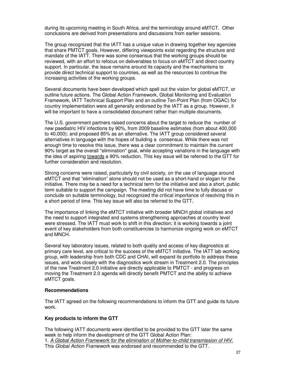during its upcoming meeting in South Africa, and the terminology around eMTCT. Other conclusions are derived from presentations and discussions from earlier sessions.

The group recognized that the IATT has a unique value in drawing together key agencies that share PMTCT goals. However, differing viewpoints exist regarding the structure and mandate of the IATT. There was some consensus that the working groups should be reviewed, with an effort to refocus on deliverables to focus on eMTCT and direct country support. In particular, the issue remains around its capacity and the mechanisms to provide direct technical support to countries, as well as the resources to continue the increasing activities of the working groups.

Several documents have been developed which spell out the vision for global eMTCT, or outline future actions. The Global Action Framework, Global Monitoring and Evaluation Framework, IATT Technical Support Plan and an outline Ten-Point Plan (from OGAC) for country implementation were all generally endorsed by the IATT as a group. However, it will be important to have a consolidated document rather than multiple documents.

The U.S. government partners raised concerns about the target to reduce the number of new paediatric HIV infections by 90%, from 2009 baseline estimates (from about 400,000 to 40,000); and proposed 85% as an alternative. The IATT group considered several alternatives in language with the hopes of building a consensus. While there was not enough time to resolve this issue, there was a clear commitment to maintain the current 90% target as the overall "elimination" goal, while accepting variations in the language with the idea of aspiring towards a 90% reduction. This key issue will be referred to the GTT for further consideration and resolution.

Strong concerns were raised, particularly by civil society, on the use of language around eMTCT and that "elimination" alone should not be used as a short-hand or slogan for the initiative. There may be a need for a technical term for the initiative and also a short, public term suitable to support the campaign. The meeting did not have time to fully discuss or conclude on suitable terminology, but recognized the critical importance of resolving this in a short period of time. This key issue will also be referred to the GTT.

The importance of linking the eMTCT initiative with broader MNCH global initiatives and the need to support integrated and systems strengthening approaches at country level were stressed. The IATT must work to shift in this direction; it is working towards a joint event of key stakeholders from both constituencies to harmonize ongoing work on eMTCT and MNCH.

Several key laboratory issues, related to both quality and access of key diagnostics at primary care level, are critical to the success of the eMTCT initiative. The IATT lab working group, with leadership from both CDC and CHAI, will expand its portfolio to address these issues, and work closely with the diagnostics work stream in Treatment 2.0. The principles of the new Treatment 2.0 initiative are directly applicable to PMTCT - and progress on moving the Treatment 2.0 agenda will directly benefit PMTCT and the ability to achieve eMTCT goals.

#### **Recommendations**

The IATT agreed on the following recommendations to inform the GTT and guide its future work.

## **Key products to inform the GTT**

The following IATT documents were identified to be provided to the GTT later the same week to help inform the development of the GTT Global Action Plan: 1. A Global Action Framework for the elimination of Mother-to-child transmission of HIV. This Global Action Framework was endorsed and recommended to the GTT.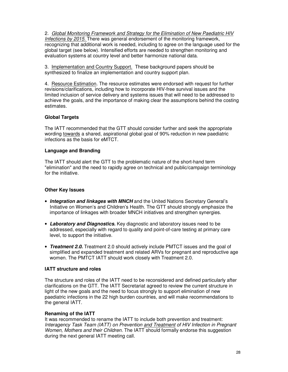2. Global Monitoring Framework and Strategy for the Elimination of New Paediatric HIV Infections by 2015. There was general endorsement of the monitoring framework, recognizing that additional work is needed, including to agree on the language used for the global target (see below). Intensified efforts are needed to strengthen monitoring and evaluation systems at country level and better harmonize national data.

3. Implementation and Country Support. These background papers should be synthesized to finalize an implementation and country support plan.

4. Resource Estimation. The resource estimates were endorsed with request for further revisions/clarifications, including how to incorporate HIV-free survival issues and the limited inclusion of service delivery and systems issues that will need to be addressed to achieve the goals, and the importance of making clear the assumptions behind the costing estimates.

## **Global Targets**

The IATT recommended that the GTT should consider further and seek the appropriate wording towards a shared, aspirational global goal of 90% reduction in new paediatric infections as the basis for eMTCT.

## **Language and Branding**

The IATT should alert the GTT to the problematic nature of the short-hand term "elimination" and the need to rapidly agree on technical and public/campaign terminology for the initiative.

## **Other Key Issues**

- **Integration and linkages with MNCH** and the United Nations Secretary General's Initiative on Women's and Children's Health. The GTT should strongly emphasize the importance of linkages with broader MNCH initiatives and strengthen synergies.
- **Laboratory and Diagnostics.** Key diagnostic and laboratory issues need to be addressed, especially with regard to quality and point-of-care testing at primary care level, to support the initiative.
- **Treatment 2.0.** Treatment 2.0 should actively include PMTCT issues and the goal of simplified and expanded treatment and related ARVs for pregnant and reproductive age women. The PMTCT IATT should work closely with Treatment 2.0.

## **IATT structure and roles**

The structure and roles of the IATT need to be reconsidered and defined particularly after clarifications on the GTT. The IATT Secretariat agreed to review the current structure in light of the new goals and the need to focus strongly to support elimination of new paediatric infections in the 22 high burden countries, and will make recommendations to the general IATT.

## **Renaming of the IATT**

It was recommended to rename the IATT to include both prevention and treatment: Interagency Task Team (IATT) on Prevention and Treatment of HIV Infection in Pregnant Women, Mothers and their Children. The IATT should formally endorse this suggestion during the next general IATT meeting call.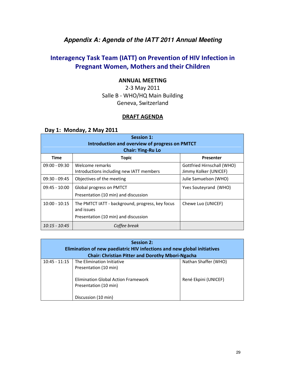# **Appendix A: Agenda of the IATT 2011 Annual Meeting**

# Interagency Task Team (IATT) on Prevention of HIV Infection in Pregnant Women, Mothers and their Children

## ANNUAL MEETING

2-3 May 2011 Salle B - WHO/HQ Main Building Geneva, Switzerland

## DRAFT AGENDA

## Day 1: Monday, 2 May 2011

| <b>Session 1:</b><br>Introduction and overview of progress on PMTCT<br><b>Chair: Ying-Ru Lo</b> |                                                                                                        |                                                     |
|-------------------------------------------------------------------------------------------------|--------------------------------------------------------------------------------------------------------|-----------------------------------------------------|
| <b>Time</b>                                                                                     | <b>Topic</b>                                                                                           | Presenter                                           |
| $09:00 - 09:30$                                                                                 | Welcome remarks<br>Introductions including new IATT members                                            | Gottfried Hirnschall (WHO)<br>Jimmy Kolker (UNICEF) |
| $09:30 - 09:45$                                                                                 | Objectives of the meeting                                                                              | Julie Samuelson (WHO)                               |
| $09:45 - 10:00$                                                                                 | Global progress on PMTCT<br>Presentation (10 min) and discussion                                       | Yves Souteyrand (WHO)                               |
| $10:00 - 10:15$                                                                                 | The PMTCT IATT - background, progress, key focus<br>and issues<br>Presentation (10 min) and discussion | Chewe Luo (UNICEF)                                  |
| $10:15 - 10:45$                                                                                 | Coffee break                                                                                           |                                                     |

| <b>Session 2:</b><br>Elimination of new paediatric HIV infections and new global initiatives<br><b>Chair: Christian Pitter and Dorothy Mbori-Ngacha</b> |                                                                                     |                      |
|---------------------------------------------------------------------------------------------------------------------------------------------------------|-------------------------------------------------------------------------------------|----------------------|
| $10:45 - 11:15$                                                                                                                                         | The Elimination Initiative<br>Presentation (10 min)                                 | Nathan Shaffer (WHO) |
|                                                                                                                                                         | Elimination Global Action Framework<br>Presentation (10 min)<br>Discussion (10 min) | René Ekpini (UNICEF) |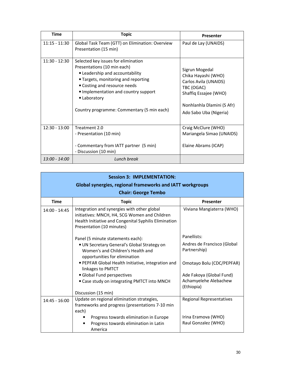| Time            | <b>Topic</b>                                                                                                                                                                                                                                                                       | <b>Presenter</b>                                                                                                                                              |
|-----------------|------------------------------------------------------------------------------------------------------------------------------------------------------------------------------------------------------------------------------------------------------------------------------------|---------------------------------------------------------------------------------------------------------------------------------------------------------------|
| $11:15 - 11:30$ | Global Task Team (GTT) on Elimination: Overview<br>Presentation (15 min)                                                                                                                                                                                                           | Paul de Lay (UNAIDS)                                                                                                                                          |
| $11:30 - 12:30$ | Selected key issues for elimination<br>Presentations (10 min each)<br>• Leadership and accountability<br>• Targets, monitoring and reporting<br>• Costing and resource needs<br>• Implementation and country support<br>• Laboratory<br>Country programme: Commentary (5 min each) | Sigrun Mogedal<br>Chika Hayashi (WHO)<br>Carlos Avila (UNAIDS)<br>TBC (OGAC)<br>Shaffiq Essajee (WHO)<br>Nonhlanhla Dlamini (S Afr)<br>Ado Sabo Uba (Nigeria) |
| $12:30 - 13:00$ | Treatment 2.0<br>- Presentation (10 min)<br>- Commentary from IATT partner (5 min)<br>- Discussion (10 min)                                                                                                                                                                        | Craig McClure (WHO)<br>Mariangela Simao (UNAIDS)<br>Elaine Abrams (ICAP)                                                                                      |
| $13:00 - 14:00$ | Lunch break                                                                                                                                                                                                                                                                        |                                                                                                                                                               |

| <b>Session 3: IMPLEMENTATION:</b>                                |                                                                                                                                                                                    |                                                            |
|------------------------------------------------------------------|------------------------------------------------------------------------------------------------------------------------------------------------------------------------------------|------------------------------------------------------------|
| <b>Global synergies, regional frameworks and IATT workgroups</b> |                                                                                                                                                                                    |                                                            |
| <b>Chair: George Tembo</b>                                       |                                                                                                                                                                                    |                                                            |
| <b>Time</b>                                                      | <b>Topic</b>                                                                                                                                                                       | Presenter                                                  |
| 14:00 - 14:45                                                    | Integration and synergies with other global<br>initiatives: MNCH, H4, SCG Women and Children<br>Health Initiative and Congenital Syphilis Elimination<br>Presentation (10 minutes) | Viviana Mangiaterra (WHO)                                  |
|                                                                  | Panel (5 minute statements each):<br>. UN Secretary General's Global Strategy on<br>Women's and Children's Health and<br>opportunities for elimination                             | Panellists:<br>Andres de Francisco (Global<br>Partnership) |
|                                                                  | • PEPFAR Global Health Initiative, integration and<br>linkages to PMTCT                                                                                                            | Omotayo Bolu (CDC/PEPFAR)                                  |
|                                                                  | · Global Fund perspectives                                                                                                                                                         | Ade Fakoya (Global Fund)                                   |
|                                                                  | • Case study on integrating PMTCT into MNCH                                                                                                                                        | Achamyelehe Alebachew<br>(Ethiopia)                        |
|                                                                  | Discussion (15 min)                                                                                                                                                                |                                                            |
| $14:45 - 16:00$                                                  | Update on regional elimination strategies,<br>frameworks and progress (presentations 7-10 min<br>each)                                                                             | Regional Representatives                                   |
|                                                                  | Progress towards elimination in Europe                                                                                                                                             | Irina Eramova (WHO)                                        |
|                                                                  | Progress towards elimination in Latin<br>America                                                                                                                                   | Raul Gonzalez (WHO)                                        |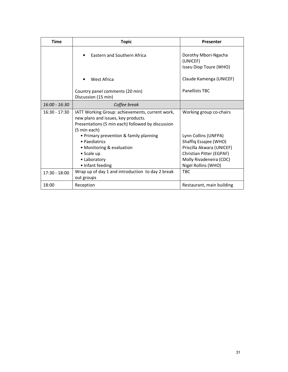| Time            | <b>Topic</b>                                                                                                                                                | Presenter                                                                                                                                                |
|-----------------|-------------------------------------------------------------------------------------------------------------------------------------------------------------|----------------------------------------------------------------------------------------------------------------------------------------------------------|
|                 | Eastern and Southern Africa                                                                                                                                 | Dorothy Mbori-Ngacha<br>(UNICEF)<br>Isseu Diop Toure (WHO)                                                                                               |
|                 | West Africa                                                                                                                                                 | Claude Kamenga (UNICEF)                                                                                                                                  |
|                 | Country panel comments (20 min)<br>Discussion (15 min)                                                                                                      | Panellists TBC                                                                                                                                           |
| $16:00 - 16:30$ | Coffee break                                                                                                                                                |                                                                                                                                                          |
| $16:30 - 17:30$ | IATT Working Group: achievements, current work,<br>new plans and issues, key products.<br>Presentations (5 min each) followed by discussion<br>(5 min each) | Working group co-chairs                                                                                                                                  |
|                 | • Primary prevention & family planning<br>• Paediatrics<br>• Monitoring & evaluation<br>• Scale up<br>• Laboratory<br>• Infant feeding                      | Lynn Collins (UNFPA)<br>Shaffiq Essajee (WHO)<br>Priscilla Akwara (UNICEF)<br>Christian Pitter (EGPAF)<br>Molly Rivadeneira (CDC)<br>Nigel Rollins (WHO) |
| $17:30 - 18:00$ | Wrap up of day 1 and introduction to day 2 break<br>out groups                                                                                              | <b>TBC</b>                                                                                                                                               |
| 18:00           | Reception                                                                                                                                                   | Restaurant, main building                                                                                                                                |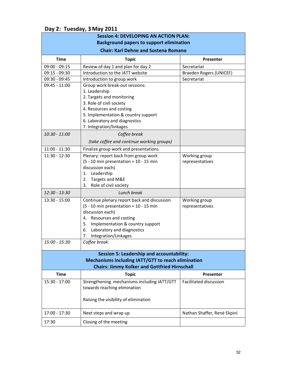|                                                                                                                                                                | <b>Session 4: DEVELOPING AN ACTION PLAN:</b>                                                                                                                                                                                                      |                                  |
|----------------------------------------------------------------------------------------------------------------------------------------------------------------|---------------------------------------------------------------------------------------------------------------------------------------------------------------------------------------------------------------------------------------------------|----------------------------------|
|                                                                                                                                                                | <b>Background papers to support elimination</b>                                                                                                                                                                                                   |                                  |
| <b>Chair: Karl Dehne and Sostena Romano</b>                                                                                                                    |                                                                                                                                                                                                                                                   |                                  |
| <b>Time</b>                                                                                                                                                    | <b>Topic</b>                                                                                                                                                                                                                                      | Presenter                        |
| $09:00 - 09:15$                                                                                                                                                | Review of day 1 and plan for day 2                                                                                                                                                                                                                | Secretariat                      |
| 09:15 - 09:30                                                                                                                                                  | Introduction to the IATT website                                                                                                                                                                                                                  | Braeden Rogers (UNICEF)          |
| 09:30 - 09:45                                                                                                                                                  | Introduction to group work                                                                                                                                                                                                                        | Secretariat                      |
| $09:45 - 11:00$                                                                                                                                                | Group work break-out sessions:<br>1. Leadership<br>2. Targets and monitoring<br>3. Role of civil society<br>4. Resources and costing<br>5. Implementation & country support<br>6. Laboratory and diagnostics<br>7. Integration/linkages           |                                  |
| 10:30 - 11:00                                                                                                                                                  | Coffee break                                                                                                                                                                                                                                      |                                  |
|                                                                                                                                                                | (take coffee and continue working groups)                                                                                                                                                                                                         |                                  |
| $11:00 - 11:30$                                                                                                                                                | Finalize group work and presentations                                                                                                                                                                                                             |                                  |
| 11:30 - 12:30                                                                                                                                                  | Plenary: report back from group work<br>(5 - 10 min presentation + 10 - 15 min<br>discussion each)<br>Leadership<br>1.<br>Targets and M&E<br>2.<br>3.<br>Role of civil society                                                                    | Working group<br>representatives |
| 12:30 - 13:30                                                                                                                                                  | Lunch break                                                                                                                                                                                                                                       |                                  |
| 13:30 - 15:00                                                                                                                                                  | Continue plenary report back and discussion<br>(5 - 10 min presentation + 10 - 15 min<br>discussion each)<br>4. Resources and costing<br>5.<br>Implementation & country support<br>Laboratory and diagnostics<br>6.<br>Integration/Linkages<br>7. | Working group<br>representatives |
| 15:00 - 15:30                                                                                                                                                  | Coffee break                                                                                                                                                                                                                                      |                                  |
| <b>Session 5: Leadership and accountability:</b><br>Mechanisms including IATT/GTT to reach elimination<br><b>Chairs: Jimmy Kolker and Gottfried Hirnschall</b> |                                                                                                                                                                                                                                                   |                                  |
| <b>Time</b>                                                                                                                                                    | <b>Topic</b>                                                                                                                                                                                                                                      | Presenter                        |
| 15:30 - 17:00                                                                                                                                                  | Strengthening mechanisms including IATT/GTT<br>towards reaching elimination<br>Raising the visibility of elimination                                                                                                                              | Facilitated discussion           |
| 17:00 - 17:30                                                                                                                                                  | Next steps and wrap up                                                                                                                                                                                                                            | Nathan Shaffer, René Ekpini      |
| 17:30                                                                                                                                                          | Closing of the meeting                                                                                                                                                                                                                            |                                  |

## Day 2: Tuesday, 3 May 2011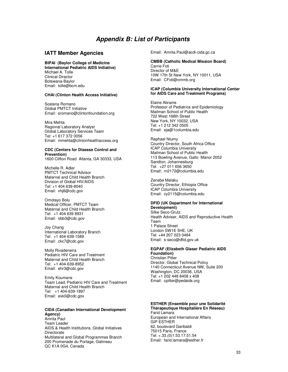## **Appendix B: List of Participants**

#### **IATT Member Agencies**

#### **BIPAI (Baylor College of Medicine**

**International Pediatric AIDS Initiative)**  Michael A. Tolle Clinical Director Botswana-Baylor Email: tolle@bcm.edu

#### **CHAI (Clinton Health Access Initiative)**

Sostena Romano Global PMTCT Initiative Email: sromano@clintonfoundation.org

Mira Mehta

Regional Laboratory Analyst Global Laboratory Services Team Tel: +1 617 372 0056 Email: mmehta@clintonhealthaccess.org

#### **CDC (Centers for Disease Control and Prevention)**

1600 Clifton Road Atlanta, GA 30333, USA

Michelle R. Adler PMTCT Technical Advisor Maternal and Child Health Branch Division of Global HIV/AIDS Tel: +1 404 639-8040 Email: vhj6@cdc.gov

Omotayo Bolu Medical Officer, PMTCT Team Maternal and Child Health Branch Tel: +1 404 639 8931 Email: obb3@cdc.gov

Joy Chang International Laboratory Branch Tel: +1 404-639-1589 Email: ckc7@cdc.gov

Molly Rivadeneira Pediatric HIV Care and Treatment Maternal and Child Health Branch Tel: +1 404-639-8952 Email: ehr3@cdc.gov

Emily Koumans Team Lead, Pediatric HIV Care and Treatment Maternal and Child Health Branch Tel: +1 404-639-1897 Email: exk0@cdc.gov

#### **CIDA (Canadian International Development Agency)**

Amrita Paul Team Leader AIDS & Health Institutions, Global Initiatives **Directorate** Multilateral and Global Programmes Branch 200 Promenade du Portage, Gatineau QC K1A 0G4, Canada

Email: Amrita.Paul@acdi-cida.gc.ca

#### **CMBB (Catholic Medical Mission Board)**  Carrie Foti Director of M&E 10W 17th St New York, NY 10011, USA Email: CFoti@cmmb.org

#### **ICAP (Columbia University International Center for AIDS Care and Treatment Programs)**

Elaine Abrams Professor of Pediatrics and Epidemiology Mailman School of Public Health 722 West 168th Street New York, NY 10032, USA Tel: +1 212 342 0505 Email: eja@1columbia.edu

Raphael Ntumy Country Director, South Africa Office ICAP Columbia University Mailman School of Public Health 113 Bowling Avenue, Gallo Manor 2052 Sandton, Johannesburg Tel. +27 011 656 3650 Email: rn2172@columbia.edu

Zenebe Melaku Country Director, Ethiopia Office ICAP Columbia University Email: zy2115@columbia.edu

#### **DFID (UK Department for International Development)**

Silke Seco-Grutz Health Adviser, AIDS and Reproductive Health Team 1 Palace Street London SW1E 5HE, UK Tel: +44 207 023 0484 Email: s-seco@dfid.gov.uk

#### **EGPAF (Elizabeth Glaser Pediatric AIDS Foundation)**

Christian Pitter Director, Global Technical Policy 1140 Connecticut Avenue NW, Suite 200 Washington, DC 20036, USA Tel: +1 202 448 8408 x 408 Email: cpitter@pedaids.org

#### **ESTHER (Ensemble pour une Solidarité Thérapeutique Hospitalière En Réseau)**  Farid Lamara

European and International Affairs GIP ESTHER 62, boulevard Garibaldi 75015 Paris, France Tel: +.33.(0)1.53.17.51.54 Email: farid.lamara@esther.fr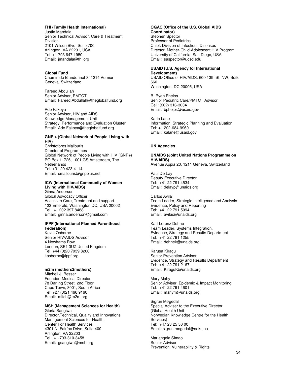#### **FHI (Family Health International)**

Justin Mandala Senior Technical Advisor, Care & Treatment Division 2101 Wilson Blvd, Suite 700 Arlington, VA 22201, USA Tel: +1 703 647 1950 Email: jmandala@fhi.org

#### **Global Fund**

Chemin de Blandonnet 8, 1214 Vernier Geneva, Switzerland

Fareed Abdullah Senior Adviser, PMTCT Email: Fareed.Abdullah@theglobalfund.org

#### Ade Fakoya

Senior Advisor, HIV and AIDS Knowledge Management Unit Strategy, Performance and Evaluation Cluster Email: Ade.Fakoya@theglobalfund.org

#### **GNP + (Global Network of People Living with HIV)**

Christoforos Mallouris Director of Programmes Global Network of People Living with HIV (GNP+) PO Box 11726, 1001 GS Amsterdam, The **Netherlands** Tel: +31 20 423 4114 Email: cmallouris@gnpplus.net

#### **ICW (International Community of Women Living with HIV/AIDS)**

Ginna Anderson Global Advocacy Officer Access to Care, Treatment and support 123 Emerald, Washington DC, USA 20002 Tel. +1 202 397 8488 Email: ginna.anderson@gmail.com

#### **IPPF (International Planned Parenthood Federation)**

Kevin Osborne Senior HIV/AIDS Advisor 4 Newhams Row London, SE1 3UZ United Kingdom Tel: +44 (0)20 7939 8200 kosborne@ippf.org

#### **m2m (mothers2mothers)**

Mitchell J. Besser Founder, Medical Director 78 Darling Street, 2nd Floor Cape Town, 8001, South Africa Tel: +27 (0)21 466 9160 Email: mitch@m2m.org

#### **MSH (Management Sciences for Health)**

Gloria Sangiwa Director,Technical, Quality and Innovations Management Sciences for Health, Center For Health Services 4301 N. Fairfax Drive, Suite 400 Arlington, VA 22203 Tel: +1-703-310-3458 Email: gsangiwa@msh.org

#### **OGAC (Office of the U.S. Global AIDS Coordinator)**  Stephen Spector

Professor of Pediatrics Chief, Division of Infectious Diseases Director, Mother-Child-Adolescent HIV Program University of California, San Diego, USA Email: saspector@ucsd.edu

#### **USAID (U.S. Agency for International Development)**

USAID Office of HIV/AIDS, 600 13th St, NW, Suite 660 Washington, DC 20005, USA

B. Ryan Phelps Senior Pediatric Care/PMTCT Advisor Cell: (202) 316-3034 Email: bphelps@usaid.gov

Karin Lane Information, Strategic Planning and Evaluation Tel: +1 202-684-9960 Email: kalane@usaid.gov

#### **UN Agencies**

#### **UNAIDS (Joint United Nations Programme on HIV/AIDS)**

Avenue Appia 20, 1211 Geneva, Switzerland

Paul De Lay Deputy Executive Director Tel: +41 22 791 4534 Email: delayp@unaids.org

Carlos Avila Team Leader, Strategic Intelligence and Analysis Evidence, Policy and Reporting Tel: +41 22 791 5094 Email: avilac@unaids.org

Karl-Lorenz Dehne Team Leader, Systems Integration, Evidence, Strategy and Results Department Tel: +41 22 791 1255 Email: dehnek@unaids.org

Karusa Kiragu Senior Prevention Adviser Evidence, Strategy and Results Department Tel: +41 22 791 2167 Email: KiraguK@unaids.org

Mary Mahy Senior Adviser, Epidemic & Impact Monitoring Tel: +41 22 791 4601 Email: mahym@unaids.org

Sigrun Møgedal Special Adviser to the Executive Director (Global Health Unit Norwegian Knowledge Centre for the Health Services) Tel: +47 23 25 50 00 Email: sigrun.mogedal@nokc.no

Mariangela Simao Senior Advisor Prevention, Vulnerability & Rights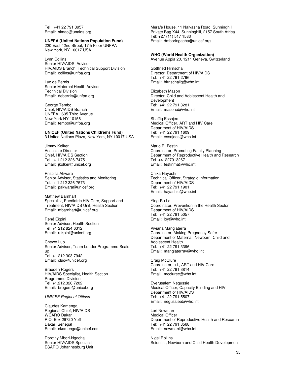Tel: +41 22 791 3957 Email: simao@unaids.org

#### **UNFPA (United Nations Population Fund)**

220 East 42nd Street, 17th Floor UNFPA New York, NY 10017 USA

Lynn Collins Senior HIV/AIDS Adviser HIV/AIDS Branch, Technical Support Division Email: collins@unfpa.org

Luc de Bernis Senior Maternal Health Adviser Technical Division Email: debernis@unfpa.org

George Tembo Chief, HIV/AIDS Branch UNFPA , 605 Third Avenue New York NY 10158 Email: tembo@unfpa.org

**UNICEF (United Nations Children's Fund)**  3 United Nations Plaza, New York, NY 10017 USA

Jimmy Kolker Associate Director Chief, HIV/AIDS Section Tel.: + 1 212 326-7475 Email: jkolker@unicef.org

Priscilla Akwara Senior Advisor, Statistics and Monitoring Tel.: + 1 212 326-7573 Email: pakwara@unicef.org

Matthew Barnhart Specialist, Paediatric HIV Care, Support and Treatment, HIV/AIDS Unit, Health Section Email: mbarnhart@unicef.org

René Ekpini Senior Adviser, Health Section Tel: +1 212 824 6312 Email: rekpini@unicef.org

Chewe Luo Senior Adviser, Team Leader Programme Scaleup Tel: +1 212 303 7942 Email: cluo@unicef.org

Braeden Rogers HIV/AIDS Specialist, Health Section Programme Division Tel: +1.212.326.7202 Email: brogers@unicef.org

UNICEF Regional Offices

Claudes Kamenga Regional Chief, HIV/AIDS WCARO Dakar P.O. Box 29720 Yoff Dakar, Senegal Email: ckamenga@unicef.com

Dorothy Mbori-Ngacha Senior HIV/AIDS Specialist ESARO Johannesburg Unit Merafe House, 11 Naivasha Road, Sunninghill Private Bag X44, Sunninghill, 2157 South Africa Tel: +27 (11) 517 1583 Email: dmboringacha@unicef.org

**WHO (World Health Organization)**  Avenue Appia 20, 1211 Geneva, Switzerland

Gottfried Hirnschall Director, Department of HIV/AIDS Tel: +41 22 791 2796 Email: hirnschallg@who.int

Elizabeth Mason Director, Child and Adolescent Health and Development Tel: +41 22 791 3281 Email: masone@who.int

Shaffiq Essajee Medical Officer, ART and HIV Care Department of HIV/AIDS Tel: +41 22 791 1609 Email: essajees@who.int

Mario R. Festin Coordinator, Promoting Family Planning Department of Reproductive Health and Research Tel. +41227913267 Email: festinma@who.int

Chika Hayashi Technical Officer, Strategic Information Department of HIV/AIDS Tel: +41 22 791 1901 Email: hayashic@who.int

Ying-Ru Lo Coordinator, Prevention in the Health Sector Department of HIV/AIDS Tel: +41 22 791 5057 Email: loy@who.int

Viviana Mangiaterra Coordinator, Making Pregnancy Safer Department of Maternal, Newborn, Child and Adolescent Health Tel. +41 22 791 3396 Email: mangiaterrav@who.int

Craig McClure Coordinator, a.i., ART and HIV Care Tel: +41 22 791 3814 Email. mcclurec@who.int

Eyerusalem Negussie Medical Officer, Capacity Building and HIV Department of HIV/AIDS Tel: +41 22 791 5507 Email: negussiee@who.int

Lori Newman Medical Officer Department of Reproductive Health and Research Tel: +41 22 791 3568 Email: newmanl@who.int

Nigel Rollins Scientist, Newborn and Child Health Development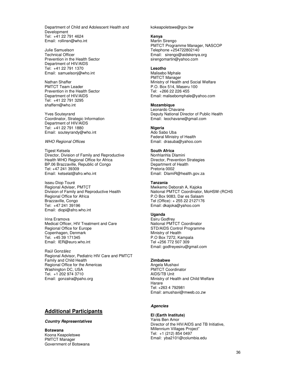Department of Child and Adolescent Health and Development Tel: +41 22 791 4624 Email: rollinsn@who.int

Julie Samuelson Technical Officer Prevention in the Health Sector Department of HIV/AIDS Tel: +41 22 791 1370 Email: samuelsonj@who.int

Nathan Shaffer PMTCT Team Leader Prevention in the Health Sector Department of HIV/AIDS Tel: +41 22 791 3295 shaffern@who.int

Yves Souteyrand Coordinator, Strategic Information Department of HIV/AIDS Tel: +41 22 791 1880 Email: souteyrandy@who.int

#### WHO Regional Offices

Tigest Ketsela Director, Division of Family and Reproductive Health WHO Regional Office for Africa BP.06 Brazzaville, Republic of Congo Tel: +47 241 39309 Email: ketselat@afro.who.int

Isseu Diop Touré Regional Adviser, PMTCT Division of Family and Reproductive Health Regional Office for Africa Brazzaville, Congo Tel: +47 241 39196 Email: diopi@afro.who.int

Irina Eramova Medical Officer, HIV Treatment and Care Regional Office for Europe Copenhagen, Denmark Tel. +45 39 171345 Email: IER@euro.who.int

Raúl González Regional Advisor, Pediatric HIV Care and PMTCT Family and Child Health Regional Office for the Americas Washington DC, USA Tel. +1 202 974 3710 Email: gonzalra@paho.org

## **Additional Participants**

#### **Country Representatives**

**Botswana**  Koona Keapoletswe PMTCT Manager Government of Botswana

#### kokeapoletswe@gov.bw

#### **Kenya**

Martin Sirengo PMTCT Programme Manager, NASCOP Telephone +254722802140 Email: sirengo@aidskenya.org sirengomartin@yahoo.com

#### **Lesotho**

Malisebo Mphale PMTCT Manager Ministry of Health and Social Welfare P.O. Box 514, Maseru 100 Tel: +266 22 226 455 Email: malisebomphale@yahoo.com

#### **Mozambique**

Leonardo Chavane Deputy National Director of Public Health Email: leochavane@gmail.com

#### **Nigeria**

Ado Sabo Uba Federal Ministry of Health Email: drasuba@yahoo.com

#### **South Africa**

Nonhlanhla Dlamini Director, Prevention Strategies Department of Health Pretoria 0002 Email: DlamiR@health.gov.za

#### **Tanzania**

Mwikemo Deborah A, Kajoka National PMTCT Coordinator, MoHSW-(RCHS P.O Box 9083, Dar es Salaam Tel (Office): + 255 22 2127176 Email: dkajoka@yahoo.com

#### **Uganda**

Esiru Godfrey National PMTCT Coordinator STD/AIDS Control Programme Ministry of Health P.O Box 7272, Kampala Tel +256 772 507 309 Email: godfreyesiru@gmail.com

#### **Zimbabwe**

Angela Mushavi PMTCT Coordinator AIDS/TB Unit Ministry of Health and Child Welfare Harare Tel: +263 4 792981 Email: amushavi@mweb.co.zw

#### **Agencies**

**EI (Earth Institute)**  Yanis Ben Amor Director of the HIV/AIDS and TB Initiative, Millennium Villages Project" Tel: +1 (212) 854 0497 Email: yba2101@columbia.edu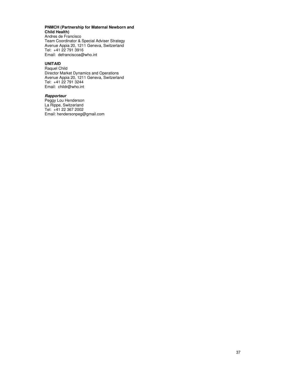#### **PNMCH (Partnership for Maternal Newborn and Child Health)**

Andres de Francisco Team Coordinator & Special Adviser Strategy Avenue Appia 20, 1211 Geneva, Switzerland Tel: +41 22 791 3916 Email: defranciscoa@who.int

#### **UNITAID**

Raquel Child Director Market Dynamics and Operations Avenue Appia 20, 1211 Geneva, Switzerland Tel: +41 22 791 3244 Email: childr@who.int

#### **Rapporteur**

Peggy Lou Henderson La Rippe, Switzerland Tel: +41 22 367 2002 Email: hendersonpeg@gmail.com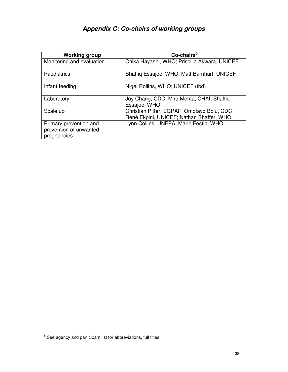# **Appendix C: Co-chairs of working groups**

| <b>Working group</b>                                            | Co-chairs <sup>6</sup>                                                                  |
|-----------------------------------------------------------------|-----------------------------------------------------------------------------------------|
| Monitoring and evaluation                                       | Chika Hayashi, WHO; Priscilla Akwara, UNICEF                                            |
| Paediatrics                                                     | Shaffiq Essajee, WHO; Matt Barnhart, UNICEF                                             |
| Infant feeding                                                  | Nigel Rollins, WHO; UNICEF (tbd)                                                        |
| Laboratory                                                      | Joy Chang, CDC; Mira Mehta, CHAI; Shaffiq<br>Essajee, WHO                               |
| Scale up                                                        | Christian Pitter, EGPAF; Omotayo Bolu, CDC;<br>René Ekpini, UNICEF; Nathan Shaffer, WHO |
| Primary prevention and<br>prevention of unwanted<br>pregnancies | Lynn Collins, UNFPA; Mario Festin, WHO                                                  |

 6 See agency and participant list for abbreviations, full titles